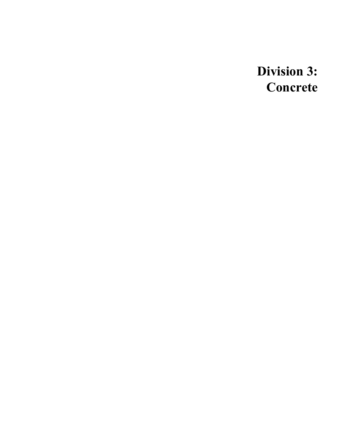**Division 3: Concrete**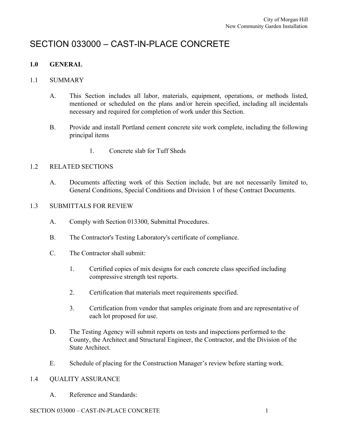# SECTION 033000 – CAST-IN-PLACE CONCRETE

# **1.0 GENERAL**

# 1.1 SUMMARY

- A. This Section includes all labor, materials, equipment, operations, or methods listed, mentioned or scheduled on the plans and/or herein specified, including all incidentals necessary and required for completion of work under this Section.
- B. Provide and install Portland cement concrete site work complete, including the following principal items
	- 1. Concrete slab for Tuff Sheds

# 1.2 RELATED SECTIONS

A. Documents affecting work of this Section include, but are not necessarily limited to, General Conditions, Special Conditions and Division 1 of these Contract Documents.

# 1.3 SUBMITTALS FOR REVIEW

- A. Comply with Section 013300, Submittal Procedures.
- B. The Contractor's Testing Laboratory's certificate of compliance.
- C. The Contractor shall submit:
	- 1. Certified copies of mix designs for each concrete class specified including compressive strength test reports.
	- 2. Certification that materials meet requirements specified.
	- 3. Certification from vendor that samples originate from and are representative of each lot proposed for use.
- D. The Testing Agency will submit reports on tests and inspections performed to the County, the Architect and Structural Engineer, the Contractor, and the Division of the State Architect.
- E. Schedule of placing for the Construction Manager's review before starting work.

# 1.4 QUALITY ASSURANCE

A. Reference and Standards:

# SECTION 033000 – CAST-IN-PLACE CONCRETE 1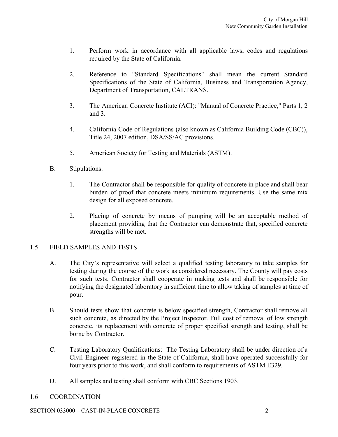- 1. Perform work in accordance with all applicable laws, codes and regulations required by the State of California.
- 2. Reference to "Standard Specifications" shall mean the current Standard Specifications of the State of California, Business and Transportation Agency, Department of Transportation, CALTRANS.
- 3. The American Concrete Institute (ACI): "Manual of Concrete Practice," Parts 1, 2 and 3.
- 4. California Code of Regulations (also known as California Building Code (CBC)), Title 24, 2007 edition, DSA/SS/AC provisions.
- 5. American Society for Testing and Materials (ASTM).
- B. Stipulations:
	- 1. The Contractor shall be responsible for quality of concrete in place and shall bear burden of proof that concrete meets minimum requirements. Use the same mix design for all exposed concrete.
	- 2. Placing of concrete by means of pumping will be an acceptable method of placement providing that the Contractor can demonstrate that, specified concrete strengths will be met.

# 1.5 FIELD SAMPLES AND TESTS

- A. The City's representative will select a qualified testing laboratory to take samples for testing during the course of the work as considered necessary. The County will pay costs for such tests. Contractor shall cooperate in making tests and shall be responsible for notifying the designated laboratory in sufficient time to allow taking of samples at time of pour.
- B. Should tests show that concrete is below specified strength, Contractor shall remove all such concrete, as directed by the Project Inspector. Full cost of removal of low strength concrete, its replacement with concrete of proper specified strength and testing, shall be borne by Contractor.
- C. Testing Laboratory Qualifications: The Testing Laboratory shall be under direction of a Civil Engineer registered in the State of California, shall have operated successfully for four years prior to this work, and shall conform to requirements of ASTM E329.
- D. All samples and testing shall conform with CBC Sections 1903.

# 1.6 COORDINATION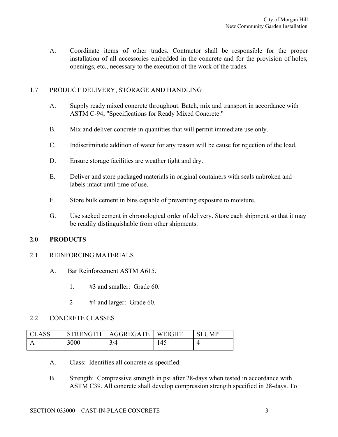A. Coordinate items of other trades. Contractor shall be responsible for the proper installation of all accessories embedded in the concrete and for the provision of holes, openings, etc., necessary to the execution of the work of the trades.

# 1.7 PRODUCT DELIVERY, STORAGE AND HANDLING

- A. Supply ready mixed concrete throughout. Batch, mix and transport in accordance with ASTM C-94, "Specifications for Ready Mixed Concrete."
- B. Mix and deliver concrete in quantities that will permit immediate use only.
- C. Indiscriminate addition of water for any reason will be cause for rejection of the load.
- D. Ensure storage facilities are weather tight and dry.
- E. Deliver and store packaged materials in original containers with seals unbroken and labels intact until time of use.
- F. Store bulk cement in bins capable of preventing exposure to moisture.
- G. Use sacked cement in chronological order of delivery. Store each shipment so that it may be readily distinguishable from other shipments.

# **2.0 PRODUCTS**

# 2.1 REINFORCING MATERIALS

- A. Bar Reinforcement ASTM A615.
	- 1. #3 and smaller: Grade 60.
	- 2 #4 and larger: Grade 60.

# 2.2 CONCRETE CLASSES

| CLASS | STRENGTH | <b>AGGREGATE</b> | /EIGHT<br>W | JMP |
|-------|----------|------------------|-------------|-----|
|       | 3000     | 3/4              | 145         |     |

- A. Class: Identifies all concrete as specified.
- B. Strength: Compressive strength in psi after 28-days when tested in accordance with ASTM C39. All concrete shall develop compression strength specified in 28-days. To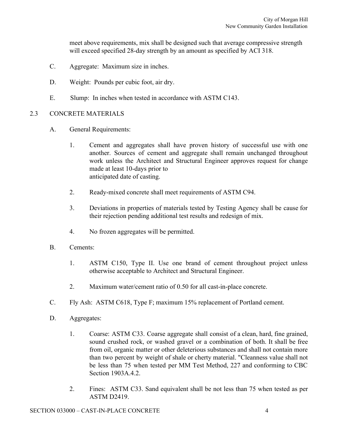meet above requirements, mix shall be designed such that average compressive strength will exceed specified 28-day strength by an amount as specified by ACI 318.

- C. Aggregate: Maximum size in inches.
- D. Weight: Pounds per cubic foot, air dry.
- E. Slump: In inches when tested in accordance with ASTM C143.

# 2.3 CONCRETE MATERIALS

- A. General Requirements:
	- 1. Cement and aggregates shall have proven history of successful use with one another. Sources of cement and aggregate shall remain unchanged throughout work unless the Architect and Structural Engineer approves request for change made at least 10-days prior to anticipated date of casting.
	- 2. Ready-mixed concrete shall meet requirements of ASTM C94.
	- 3. Deviations in properties of materials tested by Testing Agency shall be cause for their rejection pending additional test results and redesign of mix.
	- 4. No frozen aggregates will be permitted.
- B. Cements:
	- 1. ASTM C150, Type II. Use one brand of cement throughout project unless otherwise acceptable to Architect and Structural Engineer.
	- 2. Maximum water/cement ratio of 0.50 for all cast-in-place concrete.
- C. Fly Ash: ASTM C618, Type F; maximum 15% replacement of Portland cement.
- D. Aggregates:
	- 1. Coarse: ASTM C33. Coarse aggregate shall consist of a clean, hard, fine grained, sound crushed rock, or washed gravel or a combination of both. It shall be free from oil, organic matter or other deleterious substances and shall not contain more than two percent by weight of shale or cherty material. "Cleanness value shall not be less than 75 when tested per MM Test Method, 227 and conforming to CBC Section 1903A.4.2.
	- 2. Fines: ASTM C33. Sand equivalent shall be not less than 75 when tested as per ASTM D2419.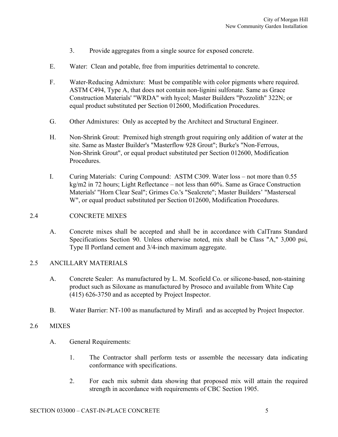- 3. Provide aggregates from a single source for exposed concrete.
- E. Water: Clean and potable, free from impurities detrimental to concrete.
- F. Water-Reducing Admixture: Must be compatible with color pigments where required. ASTM C494, Type A, that does not contain non-lignini sulfonate. Same as Grace Construction Materials' "WRDA" with hycol; Master Builders "Pozzolith" 322N; or equal product substituted per Section 012600, Modification Procedures.
- G. Other Admixtures: Only as accepted by the Architect and Structural Engineer.
- H. Non-Shrink Grout: Premixed high strength grout requiring only addition of water at the site. Same as Master Builder's "Masterflow 928 Grout"; Burke's "Non-Ferrous, Non-Shrink Grout", or equal product substituted per Section 012600, Modification Procedures.
- I. Curing Materials: Curing Compound: ASTM C309. Water loss not more than 0.55 kg/m2 in 72 hours; Light Reflectance – not less than 60%. Same as Grace Construction Materials' "Horn Clear Seal"; Grimes Co.'s "Sealcrete"; Master Builders' "Masterseal W", or equal product substituted per Section 012600, Modification Procedures.

# 2.4 CONCRETE MIXES

A. Concrete mixes shall be accepted and shall be in accordance with CalTrans Standard Specifications Section 90. Unless otherwise noted, mix shall be Class "A," 3,000 psi, Type II Portland cement and 3/4-inch maximum aggregate.

# 2.5 ANCILLARY MATERIALS

- A. Concrete Sealer: As manufactured by L. M. Scofield Co. or silicone-based, non-staining product such as Siloxane as manufactured by Prosoco and available from White Cap (415) 626-3750 and as accepted by Project Inspector.
- B. Water Barrier: NT-100 as manufactured by Mirafi and as accepted by Project Inspector.

# 2.6 MIXES

- A. General Requirements:
	- 1. The Contractor shall perform tests or assemble the necessary data indicating conformance with specifications.
	- 2. For each mix submit data showing that proposed mix will attain the required strength in accordance with requirements of CBC Section 1905.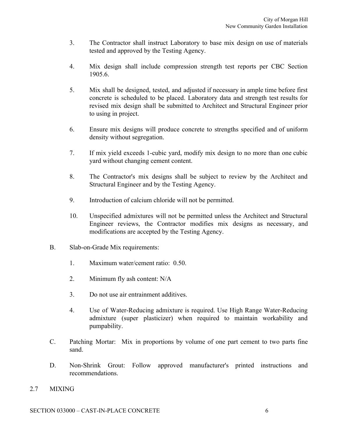- 3. The Contractor shall instruct Laboratory to base mix design on use of materials tested and approved by the Testing Agency.
- 4. Mix design shall include compression strength test reports per CBC Section 1905.6.
- 5. Mix shall be designed, tested, and adjusted if necessary in ample time before first concrete is scheduled to be placed. Laboratory data and strength test results for revised mix design shall be submitted to Architect and Structural Engineer prior to using in project.
- 6. Ensure mix designs will produce concrete to strengths specified and of uniform density without segregation.
- 7. If mix yield exceeds 1-cubic yard, modify mix design to no more than one cubic yard without changing cement content.
- 8. The Contractor's mix designs shall be subject to review by the Architect and Structural Engineer and by the Testing Agency.
- 9. Introduction of calcium chloride will not be permitted.
- 10. Unspecified admixtures will not be permitted unless the Architect and Structural Engineer reviews, the Contractor modifies mix designs as necessary, and modifications are accepted by the Testing Agency.
- B. Slab-on-Grade Mix requirements:
	- 1. Maximum water/cement ratio: 0.50.
	- 2. Minimum fly ash content: N/A
	- 3. Do not use air entrainment additives.
	- 4. Use of Water-Reducing admixture is required. Use High Range Water-Reducing admixture (super plasticizer) when required to maintain workability and pumpability.
- C. Patching Mortar: Mix in proportions by volume of one part cement to two parts fine sand.
- D. Non-Shrink Grout: Follow approved manufacturer's printed instructions and recommendations.
- 2.7 MIXING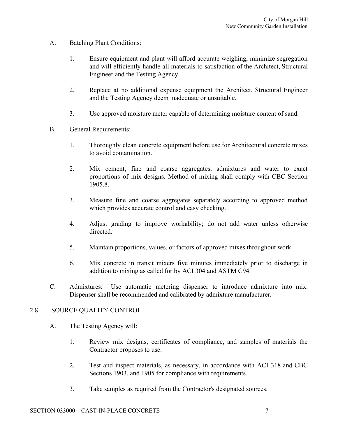- A. Batching Plant Conditions:
	- 1. Ensure equipment and plant will afford accurate weighing, minimize segregation and will efficiently handle all materials to satisfaction of the Architect, Structural Engineer and the Testing Agency.
	- 2. Replace at no additional expense equipment the Architect, Structural Engineer and the Testing Agency deem inadequate or unsuitable.
	- 3. Use approved moisture meter capable of determining moisture content of sand.
- B. General Requirements:
	- 1. Thoroughly clean concrete equipment before use for Architectural concrete mixes to avoid contamination.
	- 2. Mix cement, fine and coarse aggregates, admixtures and water to exact proportions of mix designs. Method of mixing shall comply with CBC Section 1905.8.
	- 3. Measure fine and coarse aggregates separately according to approved method which provides accurate control and easy checking.
	- 4. Adjust grading to improve workability; do not add water unless otherwise directed.
	- 5. Maintain proportions, values, or factors of approved mixes throughout work.
	- 6. Mix concrete in transit mixers five minutes immediately prior to discharge in addition to mixing as called for by ACI 304 and ASTM C94.
- C. Admixtures: Use automatic metering dispenser to introduce admixture into mix. Dispenser shall be recommended and calibrated by admixture manufacturer.

# 2.8 SOURCE QUALITY CONTROL

- A. The Testing Agency will:
	- 1. Review mix designs, certificates of compliance, and samples of materials the Contractor proposes to use.
	- 2. Test and inspect materials, as necessary, in accordance with ACI 318 and CBC Sections 1903, and 1905 for compliance with requirements.
	- 3. Take samples as required from the Contractor's designated sources.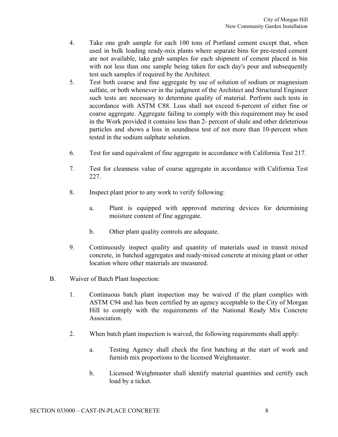- 4. Take one grab sample for each 100 tons of Portland cement except that, when used in bulk loading ready-mix plants where separate bins for pre-tested cement are not available, take grab samples for each shipment of cement placed in bin with not less than one sample being taken for each day's pour and subsequently test such samples if required by the Architect.
- 5. Test both coarse and fine aggregate by use of solution of sodium or magnesium sulfate, or both whenever in the judgment of the Architect and Structural Engineer such tests are necessary to determine quality of material. Perform such tests in accordance with ASTM C88. Loss shall not exceed 6-percent of either fine or coarse aggregate. Aggregate failing to comply with this requirement may be used in the Work provided it contains less than 2- percent of shale and other deleterious particles and shows a loss in soundness test of not more than 10-percent when tested in the sodium sulphate solution.
- 6. Test for sand equivalent of fine aggregate in accordance with California Test 217.
- 7. Test for cleanness value of coarse aggregate in accordance with California Test 227.
- 8. Inspect plant prior to any work to verify following:
	- a. Plant is equipped with approved metering devices for determining moisture content of fine aggregate.
	- b. Other plant quality controls are adequate.
- 9. Continuously inspect quality and quantity of materials used in transit mixed concrete, in batched aggregates and ready-mixed concrete at mixing plant or other location where other materials are measured.
- B. Waiver of Batch Plant Inspection:
	- 1. Continuous batch plant inspection may be waived if the plant complies with ASTM C94 and has been certified by an agency acceptable to the City of Morgan Hill to comply with the requirements of the National Ready Mix Concrete Association.
	- 2. When batch plant inspection is waived, the following requirements shall apply:
		- a. Testing Agency shall check the first batching at the start of work and furnish mix proportions to the licensed Weighmaster.
		- b. Licensed Weighmaster shall identify material quantities and certify each load by a ticket.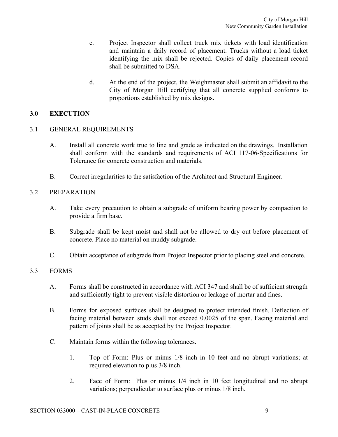- c. Project Inspector shall collect truck mix tickets with load identification and maintain a daily record of placement. Trucks without a load ticket identifying the mix shall be rejected. Copies of daily placement record shall be submitted to DSA.
- d. At the end of the project, the Weighmaster shall submit an affidavit to the City of Morgan Hill certifying that all concrete supplied conforms to proportions established by mix designs.

# **3.0 EXECUTION**

# 3.1 GENERAL REQUIREMENTS

- A. Install all concrete work true to line and grade as indicated on the drawings. Installation shall conform with the standards and requirements of ACI 117-06-Specifications for Tolerance for concrete construction and materials.
- B. Correct irregularities to the satisfaction of the Architect and Structural Engineer.

# 3.2 PREPARATION

- A. Take every precaution to obtain a subgrade of uniform bearing power by compaction to provide a firm base.
- B. Subgrade shall be kept moist and shall not be allowed to dry out before placement of concrete. Place no material on muddy subgrade.
- C. Obtain acceptance of subgrade from Project Inspector prior to placing steel and concrete.

# 3.3 FORMS

- A. Forms shall be constructed in accordance with ACI 347 and shall be of sufficient strength and sufficiently tight to prevent visible distortion or leakage of mortar and fines.
- B. Forms for exposed surfaces shall be designed to protect intended finish. Deflection of facing material between studs shall not exceed 0.0025 of the span. Facing material and pattern of joints shall be as accepted by the Project Inspector.
- C. Maintain forms within the following tolerances.
	- 1. Top of Form: Plus or minus 1/8 inch in 10 feet and no abrupt variations; at required elevation to plus 3/8 inch.
	- 2. Face of Form: Plus or minus 1/4 inch in 10 feet longitudinal and no abrupt variations; perpendicular to surface plus or minus 1/8 inch.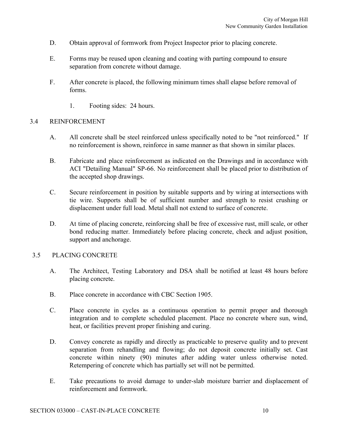- D. Obtain approval of formwork from Project Inspector prior to placing concrete.
- E. Forms may be reused upon cleaning and coating with parting compound to ensure separation from concrete without damage.
- F. After concrete is placed, the following minimum times shall elapse before removal of forms.
	- 1. Footing sides: 24 hours.

# 3.4 REINFORCEMENT

- A. All concrete shall be steel reinforced unless specifically noted to be "not reinforced." If no reinforcement is shown, reinforce in same manner as that shown in similar places.
- B. Fabricate and place reinforcement as indicated on the Drawings and in accordance with ACI "Detailing Manual" SP-66. No reinforcement shall be placed prior to distribution of the accepted shop drawings.
- C. Secure reinforcement in position by suitable supports and by wiring at intersections with tie wire. Supports shall be of sufficient number and strength to resist crushing or displacement under full load. Metal shall not extend to surface of concrete.
- D. At time of placing concrete, reinforcing shall be free of excessive rust, mill scale, or other bond reducing matter. Immediately before placing concrete, check and adjust position, support and anchorage.

# 3.5 PLACING CONCRETE

- A. The Architect, Testing Laboratory and DSA shall be notified at least 48 hours before placing concrete.
- B. Place concrete in accordance with CBC Section 1905.
- C. Place concrete in cycles as a continuous operation to permit proper and thorough integration and to complete scheduled placement. Place no concrete where sun, wind, heat, or facilities prevent proper finishing and curing.
- D. Convey concrete as rapidly and directly as practicable to preserve quality and to prevent separation from rehandling and flowing; do not deposit concrete initially set. Cast concrete within ninety (90) minutes after adding water unless otherwise noted. Retempering of concrete which has partially set will not be permitted.
- E. Take precautions to avoid damage to under-slab moisture barrier and displacement of reinforcement and formwork.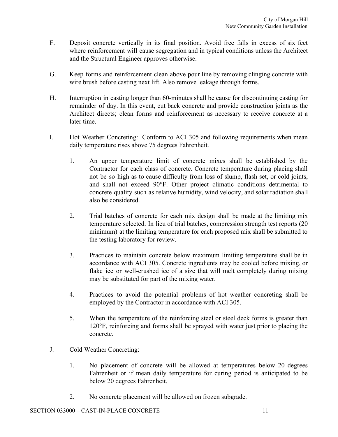- F. Deposit concrete vertically in its final position. Avoid free falls in excess of six feet where reinforcement will cause segregation and in typical conditions unless the Architect and the Structural Engineer approves otherwise.
- G. Keep forms and reinforcement clean above pour line by removing clinging concrete with wire brush before casting next lift. Also remove leakage through forms.
- H. Interruption in casting longer than 60-minutes shall be cause for discontinuing casting for remainder of day. In this event, cut back concrete and provide construction joints as the Architect directs; clean forms and reinforcement as necessary to receive concrete at a later time.
- I. Hot Weather Concreting: Conform to ACI 305 and following requirements when mean daily temperature rises above 75 degrees Fahrenheit.
	- 1. An upper temperature limit of concrete mixes shall be established by the Contractor for each class of concrete. Concrete temperature during placing shall not be so high as to cause difficulty from loss of slump, flash set, or cold joints, and shall not exceed 90°F. Other project climatic conditions detrimental to concrete quality such as relative humidity, wind velocity, and solar radiation shall also be considered.
	- 2. Trial batches of concrete for each mix design shall be made at the limiting mix temperature selected. In lieu of trial batches, compression strength test reports (20 minimum) at the limiting temperature for each proposed mix shall be submitted to the testing laboratory for review.
	- 3. Practices to maintain concrete below maximum limiting temperature shall be in accordance with ACI 305. Concrete ingredients may be cooled before mixing, or flake ice or well-crushed ice of a size that will melt completely during mixing may be substituted for part of the mixing water.
	- 4. Practices to avoid the potential problems of hot weather concreting shall be employed by the Contractor in accordance with ACI 305.
	- 5. When the temperature of the reinforcing steel or steel deck forms is greater than 120°F, reinforcing and forms shall be sprayed with water just prior to placing the concrete.
- J. Cold Weather Concreting:
	- 1. No placement of concrete will be allowed at temperatures below 20 degrees Fahrenheit or if mean daily temperature for curing period is anticipated to be below 20 degrees Fahrenheit.
	- 2. No concrete placement will be allowed on frozen subgrade.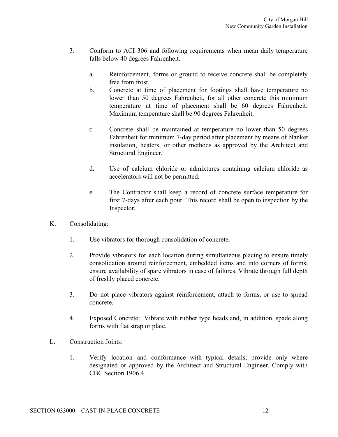- 3. Conform to ACI 306 and following requirements when mean daily temperature falls below 40 degrees Fahrenheit.
	- a. Reinforcement, forms or ground to receive concrete shall be completely free from frost.
	- b. Concrete at time of placement for footings shall have temperature no lower than 50 degrees Fahrenheit, for all other concrete this minimum temperature at time of placement shall be 60 degrees Fahrenheit. Maximum temperature shall be 90 degrees Fahrenheit.
	- c. Concrete shall be maintained at temperature no lower than 50 degrees Fahrenheit for minimum 7-day period after placement by means of blanket insulation, heaters, or other methods as approved by the Architect and Structural Engineer.
	- d. Use of calcium chloride or admixtures containing calcium chloride as accelerators will not be permitted.
	- e. The Contractor shall keep a record of concrete surface temperature for first 7-days after each pour. This record shall be open to inspection by the Inspector.
- K. Consolidating:
	- 1. Use vibrators for thorough consolidation of concrete.
	- 2. Provide vibrators for each location during simultaneous placing to ensure timely consolidation around reinforcement, embedded items and into corners of forms; ensure availability of spare vibrators in case of failures. Vibrate through full depth of freshly placed concrete.
	- 3. Do not place vibrators against reinforcement, attach to forms, or use to spread concrete.
	- 4. Exposed Concrete: Vibrate with rubber type heads and, in addition, spade along forms with flat strap or plate.
- L. Construction Joints:
	- 1. Verify location and conformance with typical details; provide only where designated or approved by the Architect and Structural Engineer. Comply with CBC Section 1906.4.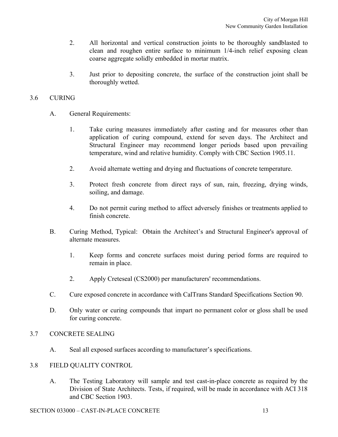- 2. All horizontal and vertical construction joints to be thoroughly sandblasted to clean and roughen entire surface to minimum 1/4-inch relief exposing clean coarse aggregate solidly embedded in mortar matrix.
- 3. Just prior to depositing concrete, the surface of the construction joint shall be thoroughly wetted.

# 3.6 CURING

- A. General Requirements:
	- 1. Take curing measures immediately after casting and for measures other than application of curing compound, extend for seven days. The Architect and Structural Engineer may recommend longer periods based upon prevailing temperature, wind and relative humidity. Comply with CBC Section 1905.11.
	- 2. Avoid alternate wetting and drying and fluctuations of concrete temperature.
	- 3. Protect fresh concrete from direct rays of sun, rain, freezing, drying winds, soiling, and damage.
	- 4. Do not permit curing method to affect adversely finishes or treatments applied to finish concrete.
- B. Curing Method, Typical: Obtain the Architect's and Structural Engineer's approval of alternate measures.
	- 1. Keep forms and concrete surfaces moist during period forms are required to remain in place.
	- 2. Apply Creteseal (CS2000) per manufacturers' recommendations.
- C. Cure exposed concrete in accordance with CalTrans Standard Specifications Section 90.
- D. Only water or curing compounds that impart no permanent color or gloss shall be used for curing concrete.

# 3.7 CONCRETE SEALING

A. Seal all exposed surfaces according to manufacturer's specifications.

# 3.8 FIELD QUALITY CONTROL

A. The Testing Laboratory will sample and test cast-in-place concrete as required by the Division of State Architects. Tests, if required, will be made in accordance with ACI 318 and CBC Section 1903.

#### SECTION 033000 – CAST-IN-PLACE CONCRETE 13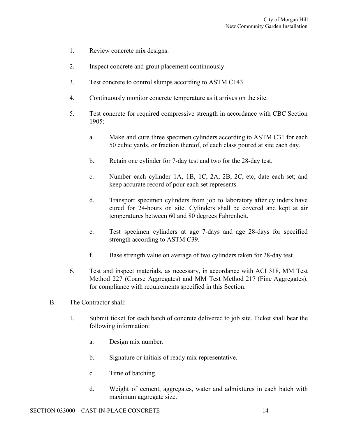- 1. Review concrete mix designs.
- 2. Inspect concrete and grout placement continuously.
- 3. Test concrete to control slumps according to ASTM C143.
- 4. Continuously monitor concrete temperature as it arrives on the site.
- 5. Test concrete for required compressive strength in accordance with CBC Section 1905:
	- a. Make and cure three specimen cylinders according to ASTM C31 for each 50 cubic yards, or fraction thereof, of each class poured at site each day.
	- b. Retain one cylinder for 7-day test and two for the 28-day test.
	- c. Number each cylinder 1A, 1B, 1C, 2A, 2B, 2C, etc; date each set; and keep accurate record of pour each set represents.
	- d. Transport specimen cylinders from job to laboratory after cylinders have cured for 24-hours on site. Cylinders shall be covered and kept at air temperatures between 60 and 80 degrees Fahrenheit.
	- e. Test specimen cylinders at age 7-days and age 28-days for specified strength according to ASTM C39.
	- f. Base strength value on average of two cylinders taken for 28-day test.
- 6. Test and inspect materials, as necessary, in accordance with ACI 318, MM Test Method 227 (Coarse Aggregates) and MM Test Method 217 (Fine Aggregates), for compliance with requirements specified in this Section.
- B. The Contractor shall:
	- 1. Submit ticket for each batch of concrete delivered to job site. Ticket shall bear the following information:
		- a. Design mix number.
		- b. Signature or initials of ready mix representative.
		- c. Time of batching.
		- d. Weight of cement, aggregates, water and admixtures in each batch with maximum aggregate size.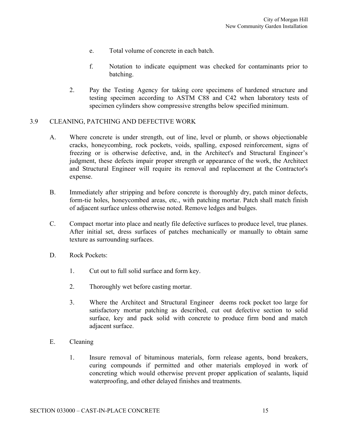- e. Total volume of concrete in each batch.
- f. Notation to indicate equipment was checked for contaminants prior to batching.
- 2. Pay the Testing Agency for taking core specimens of hardened structure and testing specimen according to ASTM C88 and C42 when laboratory tests of specimen cylinders show compressive strengths below specified minimum.

# 3.9 CLEANING, PATCHING AND DEFECTIVE WORK

- A. Where concrete is under strength, out of line, level or plumb, or shows objectionable cracks, honeycombing, rock pockets, voids, spalling, exposed reinforcement, signs of freezing or is otherwise defective, and, in the Architect's and Structural Engineer's judgment, these defects impair proper strength or appearance of the work, the Architect and Structural Engineer will require its removal and replacement at the Contractor's expense.
- B. Immediately after stripping and before concrete is thoroughly dry, patch minor defects, form-tie holes, honeycombed areas, etc., with patching mortar. Patch shall match finish of adjacent surface unless otherwise noted. Remove ledges and bulges.
- C. Compact mortar into place and neatly file defective surfaces to produce level, true planes. After initial set, dress surfaces of patches mechanically or manually to obtain same texture as surrounding surfaces.
- D. Rock Pockets:
	- 1. Cut out to full solid surface and form key.
	- 2. Thoroughly wet before casting mortar.
	- 3. Where the Architect and Structural Engineer deems rock pocket too large for satisfactory mortar patching as described, cut out defective section to solid surface, key and pack solid with concrete to produce firm bond and match adjacent surface.
- E. Cleaning
	- 1. Insure removal of bituminous materials, form release agents, bond breakers, curing compounds if permitted and other materials employed in work of concreting which would otherwise prevent proper application of sealants, liquid waterproofing, and other delayed finishes and treatments.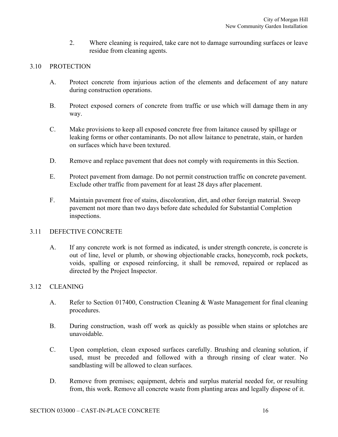2. Where cleaning is required, take care not to damage surrounding surfaces or leave residue from cleaning agents.

# 3.10 PROTECTION

- A. Protect concrete from injurious action of the elements and defacement of any nature during construction operations.
- B. Protect exposed corners of concrete from traffic or use which will damage them in any way.
- C. Make provisions to keep all exposed concrete free from laitance caused by spillage or leaking forms or other contaminants. Do not allow laitance to penetrate, stain, or harden on surfaces which have been textured.
- D. Remove and replace pavement that does not comply with requirements in this Section.
- E. Protect pavement from damage. Do not permit construction traffic on concrete pavement. Exclude other traffic from pavement for at least 28 days after placement.
- F. Maintain pavement free of stains, discoloration, dirt, and other foreign material. Sweep pavement not more than two days before date scheduled for Substantial Completion inspections.

# 3.11 DEFECTIVE CONCRETE

A. If any concrete work is not formed as indicated, is under strength concrete, is concrete is out of line, level or plumb, or showing objectionable cracks, honeycomb, rock pockets, voids, spalling or exposed reinforcing, it shall be removed, repaired or replaced as directed by the Project Inspector.

# 3.12 CLEANING

- A. Refer to Section 017400, Construction Cleaning & Waste Management for final cleaning procedures.
- B. During construction, wash off work as quickly as possible when stains or splotches are unavoidable.
- C. Upon completion, clean exposed surfaces carefully. Brushing and cleaning solution, if used, must be preceded and followed with a through rinsing of clear water. No sandblasting will be allowed to clean surfaces.
- D. Remove from premises; equipment, debris and surplus material needed for, or resulting from, this work. Remove all concrete waste from planting areas and legally dispose of it.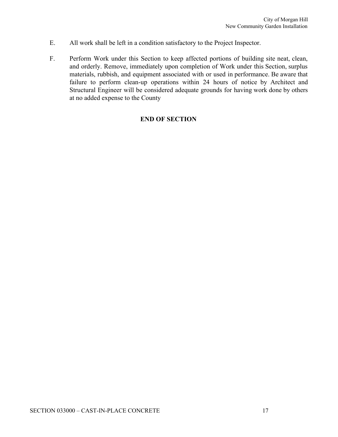- E. All work shall be left in a condition satisfactory to the Project Inspector.
- F. Perform Work under this Section to keep affected portions of building site neat, clean, and orderly. Remove, immediately upon completion of Work under this Section, surplus materials, rubbish, and equipment associated with or used in performance. Be aware that failure to perform clean-up operations within 24 hours of notice by Architect and Structural Engineer will be considered adequate grounds for having work done by others at no added expense to the County

# **END OF SECTION**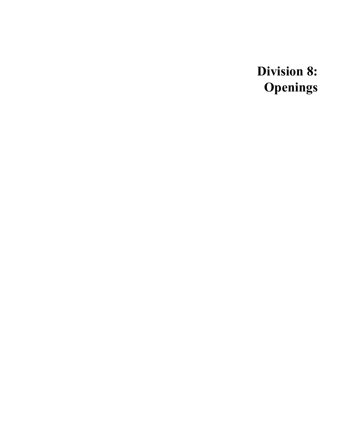**Division 8: Openings**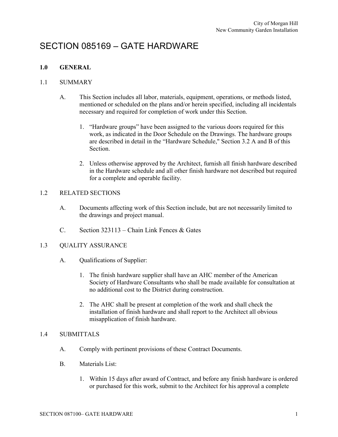# SECTION 085169 – GATE HARDWARE

# **1.0 GENERAL**

### 1.1 SUMMARY

- A. This Section includes all labor, materials, equipment, operations, or methods listed, mentioned or scheduled on the plans and/or herein specified, including all incidentals necessary and required for completion of work under this Section.
	- 1. "Hardware groups" have been assigned to the various doors required for this work, as indicated in the Door Schedule on the Drawings. The hardware groups are described in detail in the "Hardware Schedule," Section 3.2 A and B of this Section.
	- 2. Unless otherwise approved by the Architect, furnish all finish hardware described in the Hardware schedule and all other finish hardware not described but required for a complete and operable facility.

# 1.2 RELATED SECTIONS

- A. Documents affecting work of this Section include, but are not necessarily limited to the drawings and project manual.
- C. Section 323113 Chain Link Fences & Gates

# 1.3 QUALITY ASSURANCE

- A. Qualifications of Supplier:
	- 1. The finish hardware supplier shall have an AHC member of the American Society of Hardware Consultants who shall be made available for consultation at no additional cost to the District during construction.
	- 2. The AHC shall be present at completion of the work and shall check the installation of finish hardware and shall report to the Architect all obvious misapplication of finish hardware.

# 1.4 SUBMITTALS

- A. Comply with pertinent provisions of these Contract Documents.
- B. Materials List:
	- 1. Within 15 days after award of Contract, and before any finish hardware is ordered or purchased for this work, submit to the Architect for his approval a complete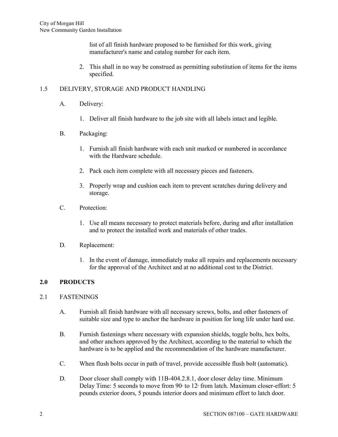list of all finish hardware proposed to be furnished for this work, giving manufacturer's name and catalog number for each item.

2. This shall in no way be construed as permitting substitution of items for the items specified.

# 1.5 DELIVERY, STORAGE AND PRODUCT HANDLING

- A. Delivery:
	- 1. Deliver all finish hardware to the job site with all labels intact and legible.

### B. Packaging:

- 1. Furnish all finish hardware with each unit marked or numbered in accordance with the Hardware schedule.
- 2. Pack each item complete with all necessary pieces and fasteners.
- 3. Properly wrap and cushion each item to prevent scratches during delivery and storage.
- C. Protection:
	- 1. Use all means necessary to protect materials before, during and after installation and to protect the installed work and materials of other trades.

#### D. Replacement:

1. In the event of damage, immediately make all repairs and replacements necessary for the approval of the Architect and at no additional cost to the District.

# **2.0 PRODUCTS**

# 2.1 FASTENINGS

- A. Furnish all finish hardware with all necessary screws, bolts, and other fasteners of suitable size and type to anchor the hardware in position for long life under hard use.
- B. Furnish fastenings where necessary with expansion shields, toggle bolts, hex bolts, and other anchors approved by the Architect, according to the material to which the hardware is to be applied and the recommendation of the hardware manufacturer.
- C. When flush bolts occur in path of travel, provide accessible flush bolt (automatic).
- D. Door closer shall comply with 11B-404.2.8.1, door closer delay time. Minimum Delay Time: 5 seconds to move from  $90<sup>o</sup>$  to  $12<sup>o</sup>$  from latch. Maximum closer-effort: 5 pounds exterior doors, 5 pounds interior doors and minimum effort to latch door.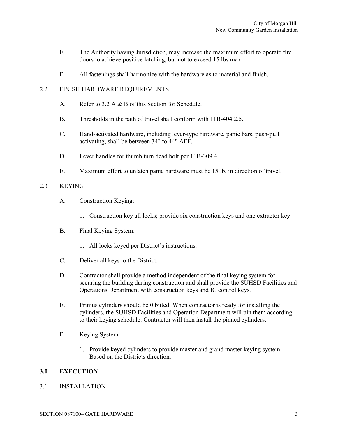- E. The Authority having Jurisdiction, may increase the maximum effort to operate fire doors to achieve positive latching, but not to exceed 15 lbs max.
- F. All fastenings shall harmonize with the hardware as to material and finish.

# 2.2 FINISH HARDWARE REQUIREMENTS

- A. Refer to 3.2 A & B of this Section for Schedule.
- B. Thresholds in the path of travel shall conform with 11B-404.2.5.
- C. Hand-activated hardware, including lever-type hardware, panic bars, push-pull activating, shall be between 34" to 44" AFF.
- D. Lever handles for thumb turn dead bolt per 11B-309.4.
- E. Maximum effort to unlatch panic hardware must be 15 lb. in direction of travel.

# 2.3 KEYING

- A. Construction Keying:
	- 1. Construction key all locks; provide six construction keys and one extractor key.
- B. Final Keying System:
	- 1. All locks keyed per District's instructions.
- C. Deliver all keys to the District.
- D. Contractor shall provide a method independent of the final keying system for securing the building during construction and shall provide the SUHSD Facilities and Operations Department with construction keys and IC control keys.
- E. Primus cylinders should be 0 bitted. When contractor is ready for installing the cylinders, the SUHSD Facilities and Operation Department will pin them according to their keying schedule. Contractor will then install the pinned cylinders.
- F. Keying System:
	- 1. Provide keyed cylinders to provide master and grand master keying system. Based on the Districts direction.

# **3.0 EXECUTION**

# 3.1 INSTALLATION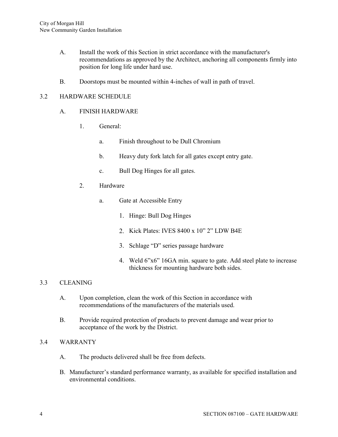- A. Install the work of this Section in strict accordance with the manufacturer's recommendations as approved by the Architect, anchoring all components firmly into position for long life under hard use.
- B. Doorstops must be mounted within 4-inches of wall in path of travel.

# 3.2 HARDWARE SCHEDULE

#### A. FINISH HARDWARE

- 1. General:
	- a. Finish throughout to be Dull Chromium
	- b. Heavy duty fork latch for all gates except entry gate.
	- c. Bull Dog Hinges for all gates.
- 2. Hardware
	- a. Gate at Accessible Entry
		- 1. Hinge: Bull Dog Hinges
		- 2. Kick Plates: IVES 8400 x 10" 2" LDW B4E
		- 3. Schlage "D" series passage hardware
		- 4. Weld 6"x6" 16GA min. square to gate. Add steel plate to increase thickness for mounting hardware both sides.

#### 3.3 CLEANING

- A. Upon completion, clean the work of this Section in accordance with recommendations of the manufacturers of the materials used.
- B. Provide required protection of products to prevent damage and wear prior to acceptance of the work by the District.

#### 3.4 WARRANTY

- A. The products delivered shall be free from defects.
- B. Manufacturer's standard performance warranty, as available for specified installation and environmental conditions.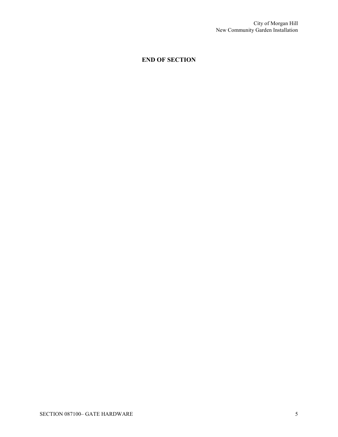# **END OF SECTION**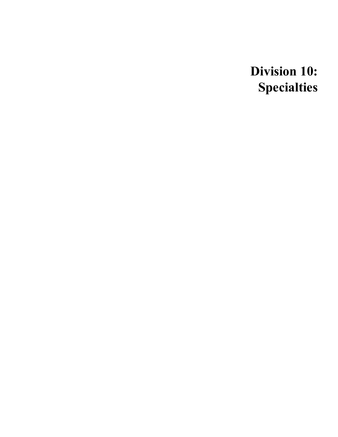**Division 10: Specialties**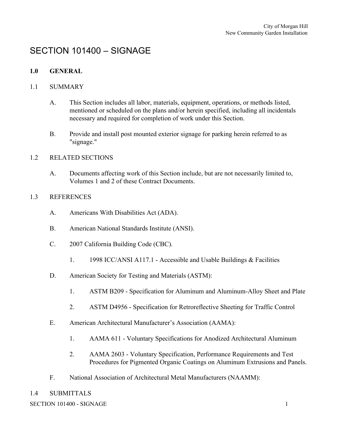# SECTION 101400 – SIGNAGE

# **1.0 GENERAL**

# 1.1 SUMMARY

- A. This Section includes all labor, materials, equipment, operations, or methods listed, mentioned or scheduled on the plans and/or herein specified, including all incidentals necessary and required for completion of work under this Section.
- B. Provide and install post mounted exterior signage for parking herein referred to as "signage."

# 1.2 RELATED SECTIONS

A. Documents affecting work of this Section include, but are not necessarily limited to, Volumes 1 and 2 of these Contract Documents.

# 1.3 REFERENCES

- A. Americans With Disabilities Act (ADA).
- B. American National Standards Institute (ANSI).
- C. 2007 California Building Code (CBC).
	- 1. 1998 ICC/ANSI A117.1 Accessible and Usable Buildings & Facilities
- D. American Society for Testing and Materials (ASTM):
	- 1. ASTM B209 Specification for Aluminum and Aluminum-Alloy Sheet and Plate
	- 2. ASTM D4956 Specification for Retroreflective Sheeting for Traffic Control
- E. American Architectural Manufacturer's Association (AAMA):
	- 1. AAMA 611 Voluntary Specifications for Anodized Architectural Aluminum
	- 2. AAMA 2603 Voluntary Specification, Performance Requirements and Test Procedures for Pigmented Organic Coatings on Aluminum Extrusions and Panels.
- F. National Association of Architectural Metal Manufacturers (NAAMM):

# 1.4 SUBMITTALS

SECTION 101400 - SIGNAGE 1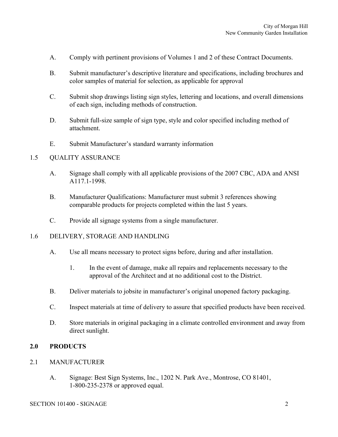- A. Comply with pertinent provisions of Volumes 1 and 2 of these Contract Documents.
- B. Submit manufacturer's descriptive literature and specifications, including brochures and color samples of material for selection, as applicable for approval
- C. Submit shop drawings listing sign styles, lettering and locations, and overall dimensions of each sign, including methods of construction.
- D. Submit full-size sample of sign type, style and color specified including method of attachment.
- E. Submit Manufacturer's standard warranty information

#### 1.5 QUALITY ASSURANCE

- A. Signage shall comply with all applicable provisions of the 2007 CBC, ADA and ANSI A117.1-1998.
- B. Manufacturer Qualifications: Manufacturer must submit 3 references showing comparable products for projects completed within the last 5 years.
- C. Provide all signage systems from a single manufacturer.

#### 1.6 DELIVERY, STORAGE AND HANDLING

- A. Use all means necessary to protect signs before, during and after installation.
	- 1. In the event of damage, make all repairs and replacements necessary to the approval of the Architect and at no additional cost to the District.
- B. Deliver materials to jobsite in manufacturer's original unopened factory packaging.
- C. Inspect materials at time of delivery to assure that specified products have been received.
- D. Store materials in original packaging in a climate controlled environment and away from direct sunlight.

# **2.0 PRODUCTS**

- 2.1 MANUFACTURER
	- A. Signage: Best Sign Systems, Inc., 1202 N. Park Ave., Montrose, CO 81401, 1-800-235-2378 or approved equal.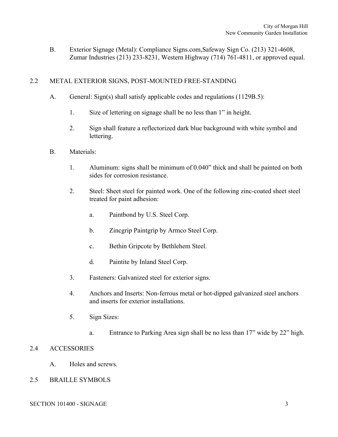B. Exterior Signage (Metal): Compliance Signs.com,Safeway Sign Co. (213) 321-4608, Zumar Industries (213) 233-8231, Western Highway (714) 761-4811, or approved equal.

# 2.2 METAL EXTERIOR SIGNS, POST-MOUNTED FREE-STANDING

- A. General: Sign(s) shall satisfy applicable codes and regulations (1129B.5):
	- 1. Size of lettering on signage shall be no less than 1" in height.
	- 2. Sign shall feature a reflectorized dark blue background with white symbol and lettering.
- B. Materials:
	- 1. Aluminum: signs shall be minimum of 0.040" thick and shall be painted on both sides for corrosion resistance.
	- 2. Steel: Sheet steel for painted work. One of the following zinc-coated sheet steel treated for paint adhesion:
		- a. Paintbond by U.S. Steel Corp.
		- b. Zincgrip Paintgrip by Armco Steel Corp.
		- c. Bethin Gripcote by Bethlehem Steel.
		- d. Paintite by Inland Steel Corp.
	- 3. Fasteners: Galvanized steel for exterior signs.
	- 4. Anchors and Inserts: Non-ferrous metal or hot-dipped galvanized steel anchors and inserts for exterior installations.
	- 5. Sign Sizes:
		- a. Entrance to Parking Area sign shall be no less than 17" wide by 22" high.

# 2.4 ACCESSORIES

A. Holes and screws.

# 2.5 BRAILLE SYMBOLS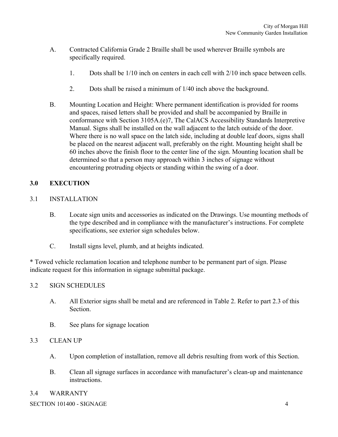- A. Contracted California Grade 2 Braille shall be used wherever Braille symbols are specifically required.
	- 1. Dots shall be 1/10 inch on centers in each cell with 2/10 inch space between cells.
	- 2. Dots shall be raised a minimum of 1/40 inch above the background.
- B. Mounting Location and Height: Where permanent identification is provided for rooms and spaces, raised letters shall be provided and shall be accompanied by Braille in conformance with Section 3105A.(e)7, The CalACS Accessibility Standards Interpretive Manual. Signs shall be installed on the wall adjacent to the latch outside of the door. Where there is no wall space on the latch side, including at double leaf doors, signs shall be placed on the nearest adjacent wall, preferably on the right. Mounting height shall be 60 inches above the finish floor to the center line of the sign. Mounting location shall be determined so that a person may approach within 3 inches of signage without encountering protruding objects or standing within the swing of a door.

# **3.0 EXECUTION**

- 3.1 INSTALLATION
	- B. Locate sign units and accessories as indicated on the Drawings. Use mounting methods of the type described and in compliance with the manufacturer's instructions. For complete specifications, see exterior sign schedules below.
	- C. Install signs level, plumb, and at heights indicated.

\* Towed vehicle reclamation location and telephone number to be permanent part of sign. Please indicate request for this information in signage submittal package.

# 3.2 SIGN SCHEDULES

- A. All Exterior signs shall be metal and are referenced in Table 2. Refer to part 2.3 of this **Section**
- B. See plans for signage location

# 3.3 CLEAN UP

- A. Upon completion of installation, remove all debris resulting from work of this Section.
- B. Clean all signage surfaces in accordance with manufacturer's clean-up and maintenance instructions.

# 3.4 WARRANTY

SECTION 101400 - SIGNAGE 4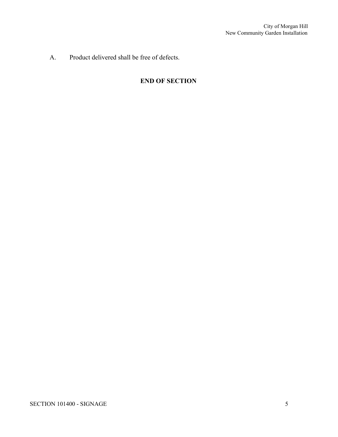A. Product delivered shall be free of defects.

# **END OF SECTION**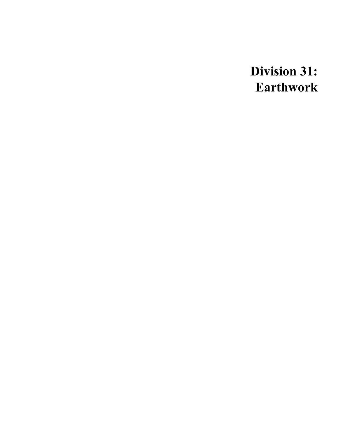**Division 31: Earthwork**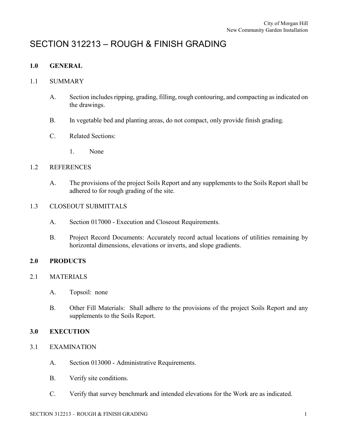# SECTION 312213 – ROUGH & FINISH GRADING

# **1.0 GENERAL**

# 1.1 SUMMARY

- A. Section includes ripping, grading, filling, rough contouring, and compacting as indicated on the drawings.
- B. In vegetable bed and planting areas, do not compact, only provide finish grading.
- C. Related Sections:
	- 1. None

# 1.2 REFERENCES

A. The provisions of the project Soils Report and any supplements to the Soils Report shall be adhered to for rough grading of the site.

# 1.3 CLOSEOUT SUBMITTALS

- A. Section 017000 Execution and Closeout Requirements.
- B. Project Record Documents: Accurately record actual locations of utilities remaining by horizontal dimensions, elevations or inverts, and slope gradients.

# **2.0 PRODUCTS**

# 2.1 MATERIALS

- A. Topsoil: none
- B. Other Fill Materials: Shall adhere to the provisions of the project Soils Report and any supplements to the Soils Report.

# **3.0 EXECUTION**

- 3.1 EXAMINATION
	- A. Section 013000 Administrative Requirements.
	- B. Verify site conditions.
	- C. Verify that survey benchmark and intended elevations for the Work are as indicated.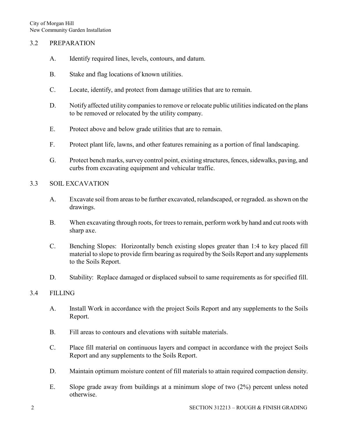# 3.2 PREPARATION

- A. Identify required lines, levels, contours, and datum.
- B. Stake and flag locations of known utilities.
- C. Locate, identify, and protect from damage utilities that are to remain.
- D. Notify affected utility companies to remove or relocate public utilities indicated on the plans to be removed or relocated by the utility company.
- E. Protect above and below grade utilities that are to remain.
- F. Protect plant life, lawns, and other features remaining as a portion of final landscaping.
- G. Protect bench marks, survey control point, existing structures, fences, sidewalks, paving, and curbs from excavating equipment and vehicular traffic.

# 3.3 SOIL EXCAVATION

- A. Excavate soil from areas to be further excavated, relandscaped, or regraded. as shown on the drawings.
- B. When excavating through roots, for trees to remain, perform work by hand and cut roots with sharp axe.
- C. Benching Slopes: Horizontally bench existing slopes greater than 1:4 to key placed fill material to slope to provide firm bearing as required by the Soils Report and any supplements to the Soils Report.
- D. Stability: Replace damaged or displaced subsoil to same requirements as for specified fill.

# 3.4 FILLING

- A. Install Work in accordance with the project Soils Report and any supplements to the Soils Report.
- B. Fill areas to contours and elevations with suitable materials.
- C. Place fill material on continuous layers and compact in accordance with the project Soils Report and any supplements to the Soils Report.
- D. Maintain optimum moisture content of fill materials to attain required compaction density.
- E. Slope grade away from buildings at a minimum slope of two (2%) percent unless noted otherwise.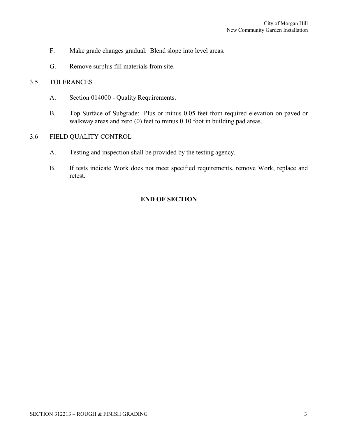- F. Make grade changes gradual. Blend slope into level areas.
- G. Remove surplus fill materials from site.

# 3.5 TOLERANCES

- A. Section 014000 Quality Requirements.
- B. Top Surface of Subgrade: Plus or minus 0.05 feet from required elevation on paved or walkway areas and zero (0) feet to minus 0.10 foot in building pad areas.

# 3.6 FIELD QUALITY CONTROL

- A. Testing and inspection shall be provided by the testing agency.
- B. If tests indicate Work does not meet specified requirements, remove Work, replace and retest.

# **END OF SECTION**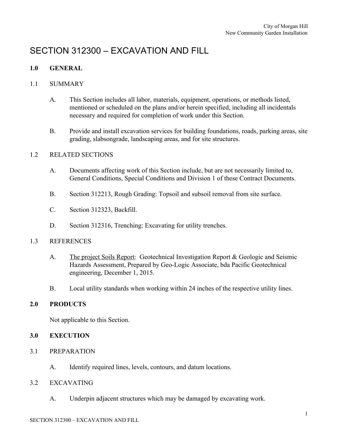# SECTION 312300 – EXCAVATION AND FILL

# **1.0 GENERAL**

# 1.1 SUMMARY

- A. This Section includes all labor, materials, equipment, operations, or methods listed, mentioned or scheduled on the plans and/or herein specified, including all incidentals necessary and required for completion of work under this Section.
- B. Provide and install excavation services for building foundations, roads, parking areas, site grading, slabsongrade, landscaping areas, and for site structures.

# 1.2 RELATED SECTIONS

- A. Documents affecting work of this Section include, but are not necessarily limited to, General Conditions, Special Conditions and Division 1 of these Contract Documents.
- B. Section 312213, Rough Grading: Topsoil and subsoil removal from site surface.
- C. Section 312323, Backfill.
- D. Section 312316, Trenching: Excavating for utility trenches.

# 1.3 REFERENCES

- A. The project Soils Report: Geotechnical Investigation Report & Geologic and Seismic Hazards Assessment, Prepared by Geo-Logic Associate, bda Pacific Geotechnical engineering, December 1, 2015.
- B. Local utility standards when working within 24 inches of the respective utility lines.

# **2.0 PRODUCTS**

Not applicable to this Section.

# **3.0 EXECUTION**

- 3.1 PREPARATION
	- A. Identify required lines, levels, contours, and datum locations.

# 3.2 EXCAVATING

A. Underpin adjacent structures which may be damaged by excavating work.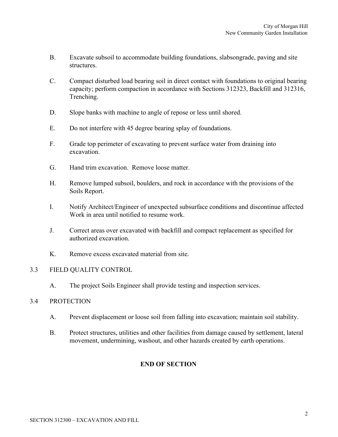- B. Excavate subsoil to accommodate building foundations, slabsongrade, paving and site structures.
- C. Compact disturbed load bearing soil in direct contact with foundations to original bearing capacity; perform compaction in accordance with Sections 312323, Backfill and 312316, Trenching.
- D. Slope banks with machine to angle of repose or less until shored.
- E. Do not interfere with 45 degree bearing splay of foundations.
- F. Grade top perimeter of excavating to prevent surface water from draining into excavation.
- G. Hand trim excavation. Remove loose matter.
- H. Remove lumped subsoil, boulders, and rock in accordance with the provisions of the Soils Report.
- I. Notify Architect/Engineer of unexpected subsurface conditions and discontinue affected Work in area until notified to resume work.
- J. Correct areas over excavated with backfill and compact replacement as specified for authorized excavation.
- K. Remove excess excavated material from site.

# 3.3 FIELD QUALITY CONTROL

A. The project Soils Engineer shall provide testing and inspection services.

# 3.4 PROTECTION

- A. Prevent displacement or loose soil from falling into excavation; maintain soil stability.
- B. Protect structures, utilities and other facilities from damage caused by settlement, lateral movement, undermining, washout, and other hazards created by earth operations.

# **END OF SECTION**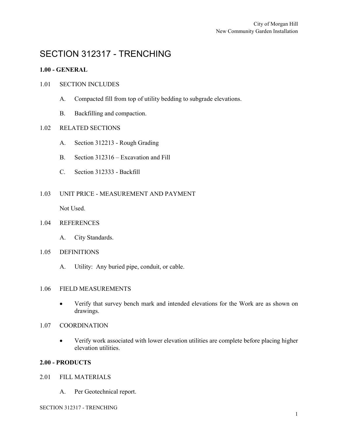# SECTION 312317 - TRENCHING

# **1.00 - GENERAL**

# 1.01 SECTION INCLUDES

- A. Compacted fill from top of utility bedding to subgrade elevations.
- B. Backfilling and compaction.

# 1.02 RELATED SECTIONS

- A. Section 312213 Rough Grading
- B. Section 312316 Excavation and Fill
- C. Section 312333 Backfill

# 1.03 UNIT PRICE - MEASUREMENT AND PAYMENT

Not Used.

# 1.04 REFERENCES

A. City Standards.

#### 1.05 DEFINITIONS

A. Utility: Any buried pipe, conduit, or cable.

#### 1.06 FIELD MEASUREMENTS

- Verify that survey bench mark and intended elevations for the Work are as shown on drawings.
- 1.07 COORDINATION
	- Verify work associated with lower elevation utilities are complete before placing higher elevation utilities.

#### **2.00 - PRODUCTS**

#### 2.01 FILL MATERIALS

A. Per Geotechnical report.

SECTION 312317 - TRENCHING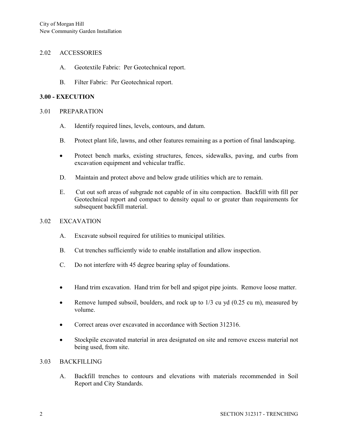#### 2.02 ACCESSORIES

- A. Geotextile Fabric: Per Geotechnical report.
- B. Filter Fabric: Per Geotechnical report.

#### **3.00 - EXECUTION**

#### 3.01 PREPARATION

- A. Identify required lines, levels, contours, and datum.
- B. Protect plant life, lawns, and other features remaining as a portion of final landscaping.
- Protect bench marks, existing structures, fences, sidewalks, paving, and curbs from excavation equipment and vehicular traffic.
- D. Maintain and protect above and below grade utilities which are to remain.
- E. Cut out soft areas of subgrade not capable of in situ compaction. Backfill with fill per Geotechnical report and compact to density equal to or greater than requirements for subsequent backfill material.

# 3.02 EXCAVATION

- A. Excavate subsoil required for utilities to municipal utilities.
- B. Cut trenches sufficiently wide to enable installation and allow inspection.
- C. Do not interfere with 45 degree bearing splay of foundations.
- Hand trim excavation. Hand trim for bell and spigot pipe joints. Remove loose matter.
- Remove lumped subsoil, boulders, and rock up to 1/3 cu yd (0.25 cu m), measured by volume.
- Correct areas over excavated in accordance with Section 312316.
- Stockpile excavated material in area designated on site and remove excess material not being used, from site.

#### 3.03 BACKFILLING

A. Backfill trenches to contours and elevations with materials recommended in Soil Report and City Standards.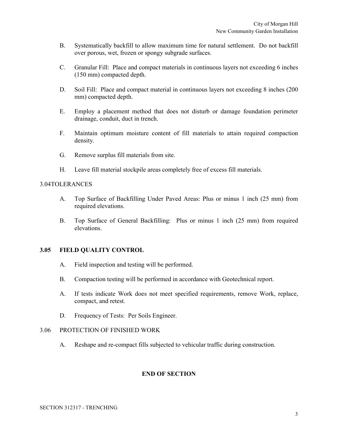- B. Systematically backfill to allow maximum time for natural settlement. Do not backfill over porous, wet, frozen or spongy subgrade surfaces.
- C. Granular Fill: Place and compact materials in continuous layers not exceeding 6 inches (150 mm) compacted depth.
- D. Soil Fill: Place and compact material in continuous layers not exceeding 8 inches (200 mm) compacted depth.
- E. Employ a placement method that does not disturb or damage foundation perimeter drainage, conduit, duct in trench.
- F. Maintain optimum moisture content of fill materials to attain required compaction density.
- G. Remove surplus fill materials from site.
- H. Leave fill material stockpile areas completely free of excess fill materials.

#### 3.04TOLERANCES

- A. Top Surface of Backfilling Under Paved Areas: Plus or minus 1 inch (25 mm) from required elevations.
- B. Top Surface of General Backfilling: Plus or minus 1 inch (25 mm) from required elevations.

#### **3.05 FIELD QUALITY CONTROL**

- A. Field inspection and testing will be performed.
- B. Compaction testing will be performed in accordance with Geotechnical report.
- A. If tests indicate Work does not meet specified requirements, remove Work, replace, compact, and retest.
- D. Frequency of Tests: Per Soils Engineer.

#### 3.06 PROTECTION OF FINISHED WORK

A. Reshape and re-compact fills subjected to vehicular traffic during construction.

# **END OF SECTION**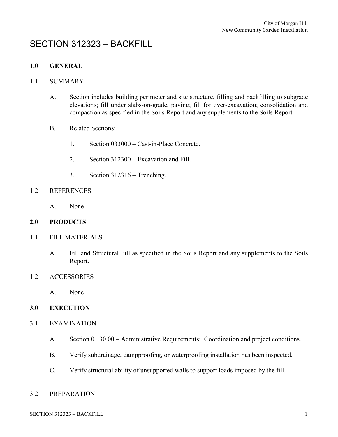# SECTION 312323 – BACKFILL

# **1.0 GENERAL**

# 1.1 SUMMARY

- A. Section includes building perimeter and site structure, filling and backfilling to subgrade elevations; fill under slabs-on-grade, paving; fill for over-excavation; consolidation and compaction as specified in the Soils Report and any supplements to the Soils Report.
- B. Related Sections:
	- 1. Section 033000 Cast-in-Place Concrete.
	- 2. Section 312300 Excavation and Fill.
	- 3. Section 312316 Trenching.

# 1.2 REFERENCES

A. None

# **2.0 PRODUCTS**

- 1.1 FILL MATERIALS
	- A. Fill and Structural Fill as specified in the Soils Report and any supplements to the Soils Report.
- 1.2 ACCESSORIES
	- A. None

# **3.0 EXECUTION**

- 3.1 EXAMINATION
	- A. Section 01 30 00 Administrative Requirements: Coordination and project conditions.
	- B. Verify subdrainage, dampproofing, or waterproofing installation has been inspected.
	- C. Verify structural ability of unsupported walls to support loads imposed by the fill.

#### 3.2 PREPARATION

SECTION 312323 – BACKFILL 1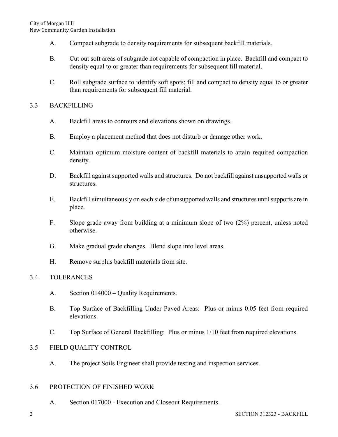- A. Compact subgrade to density requirements for subsequent backfill materials.
- B. Cut out soft areas of subgrade not capable of compaction in place. Backfill and compact to density equal to or greater than requirements for subsequent fill material.
- C. Roll subgrade surface to identify soft spots; fill and compact to density equal to or greater than requirements for subsequent fill material.

# 3.3 BACKFILLING

- A. Backfill areas to contours and elevations shown on drawings.
- B. Employ a placement method that does not disturb or damage other work.
- C. Maintain optimum moisture content of backfill materials to attain required compaction density.
- D. Backfill against supported walls and structures. Do not backfill against unsupported walls or structures.
- E. Backfill simultaneously on each side of unsupported walls and structures until supports are in place.
- F. Slope grade away from building at a minimum slope of two (2%) percent, unless noted otherwise.
- G. Make gradual grade changes. Blend slope into level areas.
- H. Remove surplus backfill materials from site.

# 3.4 TOLERANCES

- A. Section 014000 Quality Requirements.
- B. Top Surface of Backfilling Under Paved Areas: Plus or minus 0.05 feet from required elevations.
- C. Top Surface of General Backfilling: Plus or minus 1/10 feet from required elevations.

# 3.5 FIELD QUALITY CONTROL

A. The project Soils Engineer shall provide testing and inspection services.

# 3.6 PROTECTION OF FINISHED WORK

A. Section 017000 - Execution and Closeout Requirements.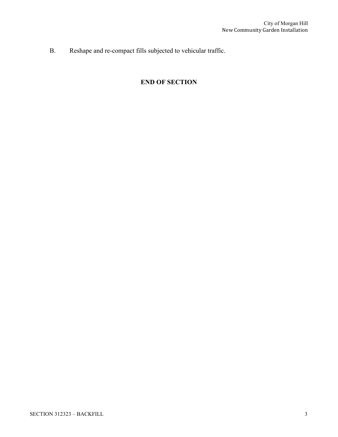B. Reshape and re-compact fills subjected to vehicular traffic.

# **END OF SECTION**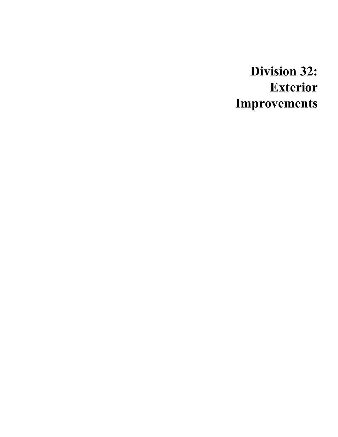# **Division 32: Exterior Improvements**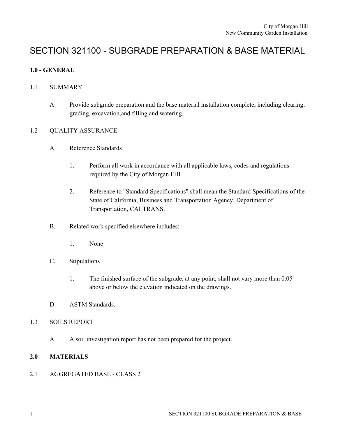# SECTION 321100 - SUBGRADE PREPARATION & BASE MATERIAL

# **1.0 - GENERAL**

# 1.1 SUMMARY

A. Provide subgrade preparation and the base material installation complete, including clearing, grading, excavation,and filling and watering.

# 1.2 QUALITY ASSURANCE

- A. Reference Standards
	- 1. Perform all work in accordance with all applicable laws, codes and regulations required by the City of Morgan Hill.
	- 2. Reference to "Standard Specifications" shall mean the Standard Specifications of the State of California, Business and Transportation Agency, Department of Transportation, CALTRANS.
- B. Related work specified elsewhere includes:
	- 1. None
- C. Stipulations
	- 1. The finished surface of the subgrade, at any point, shall not vary more than 0.05' above or below the elevation indicated on the drawings.
- D. ASTM Standards.

# 1.3 SOILS REPORT

A. A soil investigation report has not been prepared for the project.

# **2.0 MATERIALS**

# 2.1 AGGREGATED BASE - CLASS 2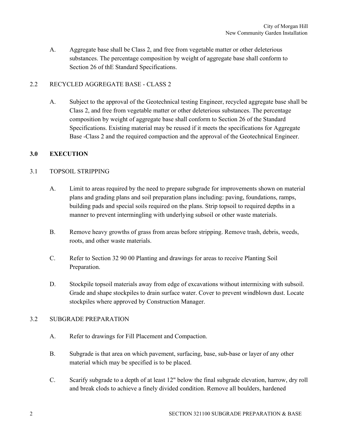A. Aggregate base shall be Class 2, and free from vegetable matter or other deleterious substances. The percentage composition by weight of aggregate base shall conform to Section 26 of thE Standard Specifications.

# 2.2 RECYCLED AGGREGATE BASE - CLASS 2

A. Subject to the approval of the Geotechnical testing Engineer, recycled aggregate base shall be Class 2, and free from vegetable matter or other deleterious substances. The percentage composition by weight of aggregate base shall conform to Section 26 of the Standard Specifications. Existing material may be reused if it meets the specifications for Aggregate Base -Class 2 and the required compaction and the approval of the Geotechnical Engineer.

# **3.0 EXECUTION**

# 3.1 TOPSOIL STRIPPING

- A. Limit to areas required by the need to prepare subgrade for improvements shown on material plans and grading plans and soil preparation plans including: paving, foundations, ramps, building pads and special soils required on the plans. Strip topsoil to required depths in a manner to prevent intermingling with underlying subsoil or other waste materials.
- B. Remove heavy growths of grass from areas before stripping. Remove trash, debris, weeds, roots, and other waste materials.
- C. Refer to Section 32 90 00 Planting and drawings for areas to receive Planting Soil Preparation.
- D. Stockpile topsoil materials away from edge of excavations without intermixing with subsoil. Grade and shape stockpiles to drain surface water. Cover to prevent windblown dust. Locate stockpiles where approved by Construction Manager.

# 3.2 SUBGRADE PREPARATION

- A. Refer to drawings for Fill Placement and Compaction.
- B. Subgrade is that area on which pavement, surfacing, base, sub-base or layer of any other material which may be specified is to be placed.
- C. Scarify subgrade to a depth of at least 12" below the final subgrade elevation, harrow, dry roll and break clods to achieve a finely divided condition. Remove all boulders, hardened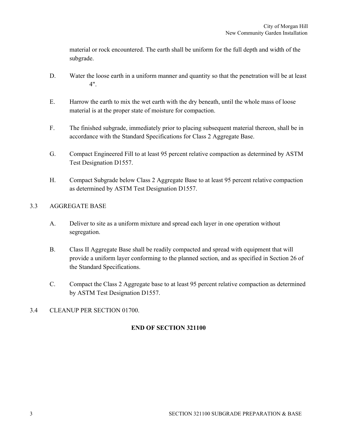material or rock encountered. The earth shall be uniform for the full depth and width of the subgrade.

- D. Water the loose earth in a uniform manner and quantity so that the penetration will be at least 4".
- E. Harrow the earth to mix the wet earth with the dry beneath, until the whole mass of loose material is at the proper state of moisture for compaction.
- F. The finished subgrade, immediately prior to placing subsequent material thereon, shall be in accordance with the Standard Specifications for Class 2 Aggregate Base.
- G. Compact Engineered Fill to at least 95 percent relative compaction as determined by ASTM Test Designation D1557.
- H. Compact Subgrade below Class 2 Aggregate Base to at least 95 percent relative compaction as determined by ASTM Test Designation D1557.

# 3.3 AGGREGATE BASE

- A. Deliver to site as a uniform mixture and spread each layer in one operation without segregation.
- B. Class II Aggregate Base shall be readily compacted and spread with equipment that will provide a uniform layer conforming to the planned section, and as specified in Section 26 of the Standard Specifications.
- C. Compact the Class 2 Aggregate base to at least 95 percent relative compaction as determined by ASTM Test Designation D1557.

# 3.4 CLEANUP PER SECTION 01700.

# **END OF SECTION 321100**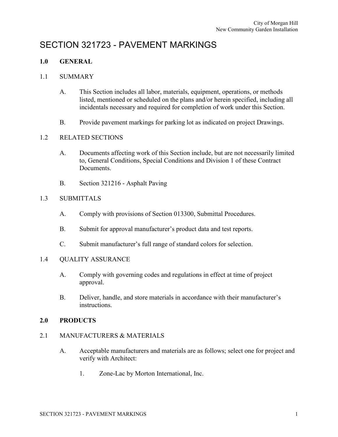# SECTION 321723 - PAVEMENT MARKINGS

# **1.0 GENERAL**

### 1.1 SUMMARY

- A. This Section includes all labor, materials, equipment, operations, or methods listed, mentioned or scheduled on the plans and/or herein specified, including all incidentals necessary and required for completion of work under this Section.
- B. Provide pavement markings for parking lot as indicated on project Drawings.

# 1.2 RELATED SECTIONS

- A. Documents affecting work of this Section include, but are not necessarily limited to, General Conditions, Special Conditions and Division 1 of these Contract Documents.
- B. Section 321216 Asphalt Paving

# 1.3 SUBMITTALS

- A. Comply with provisions of Section 013300, Submittal Procedures.
- B. Submit for approval manufacturer's product data and test reports.
- C. Submit manufacturer's full range of standard colors for selection.

# 1.4 QUALITY ASSURANCE

- A. Comply with governing codes and regulations in effect at time of project approval.
- B. Deliver, handle, and store materials in accordance with their manufacturer's instructions.

# **2.0 PRODUCTS**

# 2.1 MANUFACTURERS & MATERIALS

- A. Acceptable manufacturers and materials are as follows; select one for project and verify with Architect:
	- 1. Zone-Lac by Morton International, Inc.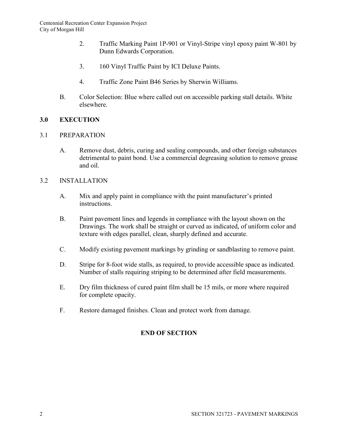- 2. Traffic Marking Paint 1P-901 or Vinyl-Stripe vinyl epoxy paint W-801 by Dunn Edwards Corporation.
- 3. 160 Vinyl Traffic Paint by ICI Deluxe Paints.
- 4. Traffic Zone Paint B46 Series by Sherwin Williams.
- B. Color Selection: Blue where called out on accessible parking stall details. White elsewhere.

# **3.0 EXECUTION**

# 3.1 PREPARATION

A. Remove dust, debris, curing and sealing compounds, and other foreign substances detrimental to paint bond. Use a commercial degreasing solution to remove grease and oil.

# 3.2 INSTALLATION

- A. Mix and apply paint in compliance with the paint manufacturer's printed instructions.
- B. Paint pavement lines and legends in compliance with the layout shown on the Drawings. The work shall be straight or curved as indicated, of uniform color and texture with edges parallel, clean, sharply defined and accurate.
- C. Modify existing pavement markings by grinding or sandblasting to remove paint.
- D. Stripe for 8-foot wide stalls, as required, to provide accessible space as indicated. Number of stalls requiring striping to be determined after field measurements.
- E. Dry film thickness of cured paint film shall be 15 mils, or more where required for complete opacity.
- F. Restore damaged finishes. Clean and protect work from damage.

# **END OF SECTION**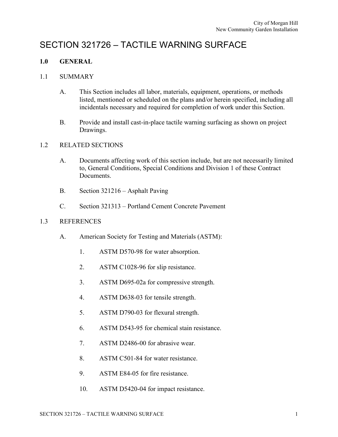# SECTION 321726 – TACTILE WARNING SURFACE

# **1.0 GENERAL**

# 1.1 SUMMARY

- A. This Section includes all labor, materials, equipment, operations, or methods listed, mentioned or scheduled on the plans and/or herein specified, including all incidentals necessary and required for completion of work under this Section.
- B. Provide and install cast-in-place tactile warning surfacing as shown on project Drawings.

# 1.2 RELATED SECTIONS

- A. Documents affecting work of this section include, but are not necessarily limited to, General Conditions, Special Conditions and Division 1 of these Contract Documents.
- B. Section 321216 Asphalt Paving
- C. Section 321313 Portland Cement Concrete Pavement

# 1.3 REFERENCES

- A. American Society for Testing and Materials (ASTM):
	- 1. ASTM D570-98 for water absorption.
	- 2. ASTM C1028-96 for slip resistance.
	- 3. ASTM D695-02a for compressive strength.
	- 4. ASTM D638-03 for tensile strength.
	- 5. ASTM D790-03 for flexural strength.
	- 6. ASTM D543-95 for chemical stain resistance.
	- 7. ASTM D2486-00 for abrasive wear.
	- 8. ASTM C501-84 for water resistance.
	- 9. ASTM E84-05 for fire resistance.
	- 10. ASTM D5420-04 for impact resistance.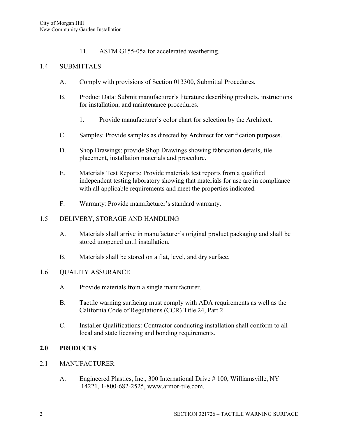11. ASTM G155-05a for accelerated weathering.

# 1.4 SUBMITTALS

- A. Comply with provisions of Section 013300, Submittal Procedures.
- B. Product Data: Submit manufacturer's literature describing products, instructions for installation, and maintenance procedures.
	- 1. Provide manufacturer's color chart for selection by the Architect.
- C. Samples: Provide samples as directed by Architect for verification purposes.
- D. Shop Drawings: provide Shop Drawings showing fabrication details, tile placement, installation materials and procedure.
- E. Materials Test Reports: Provide materials test reports from a qualified independent testing laboratory showing that materials for use are in compliance with all applicable requirements and meet the properties indicated.
- F. Warranty: Provide manufacturer's standard warranty.

# 1.5 DELIVERY, STORAGE AND HANDLING

- A. Materials shall arrive in manufacturer's original product packaging and shall be stored unopened until installation.
- B. Materials shall be stored on a flat, level, and dry surface.

# 1.6 QUALITY ASSURANCE

- A. Provide materials from a single manufacturer.
- B. Tactile warning surfacing must comply with ADA requirements as well as the California Code of Regulations (CCR) Title 24, Part 2.
- C. Installer Qualifications: Contractor conducting installation shall conform to all local and state licensing and bonding requirements.

# **2.0 PRODUCTS**

# 2.1 MANUFACTURER

A. Engineered Plastics, Inc., 300 International Drive # 100, Williamsville, NY 14221, 1-800-682-2525, [www.armor-tile.com.](http://www.armor-tile.com/)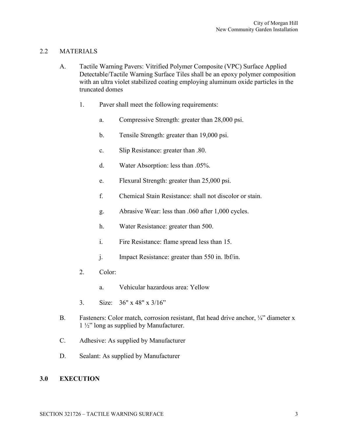# 2.2 MATERIALS

- A. Tactile Warning Pavers: Vitrified Polymer Composite (VPC) Surface Applied Detectable/Tactile Warning Surface Tiles shall be an epoxy polymer composition with an ultra violet stabilized coating employing aluminum oxide particles in the truncated domes
	- 1. Paver shall meet the following requirements:
		- a. Compressive Strength: greater than 28,000 psi.
		- b. Tensile Strength: greater than 19,000 psi.
		- c. Slip Resistance: greater than .80.
		- d. Water Absorption: less than .05%.
		- e. Flexural Strength: greater than 25,000 psi.
		- f. Chemical Stain Resistance: shall not discolor or stain.
		- g. Abrasive Wear: less than .060 after 1,000 cycles.
		- h. Water Resistance: greater than 500.
		- i. Fire Resistance: flame spread less than 15.
		- j. Impact Resistance: greater than 550 in. lbf/in.
	- 2. Color:
		- a. Vehicular hazardous area: Yellow
	- 3. Size: 36" x 48" x 3/16"
- B. Fasteners: Color match, corrosion resistant, flat head drive anchor,  $\frac{1}{4}$ " diameter x 1 ½" long as supplied by Manufacturer.
- C. Adhesive: As supplied by Manufacturer
- D. Sealant: As supplied by Manufacturer

# **3.0 EXECUTION**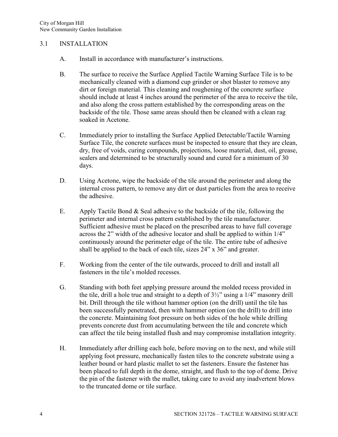# 3.1 INSTALLATION

- A. Install in accordance with manufacturer's instructions.
- B. The surface to receive the Surface Applied Tactile Warning Surface Tile is to be mechanically cleaned with a diamond cup grinder or shot blaster to remove any dirt or foreign material. This cleaning and roughening of the concrete surface should include at least 4 inches around the perimeter of the area to receive the tile, and also along the cross pattern established by the corresponding areas on the backside of the tile. Those same areas should then be cleaned with a clean rag soaked in Acetone.
- C. Immediately prior to installing the Surface Applied Detectable/Tactile Warning Surface Tile, the concrete surfaces must be inspected to ensure that they are clean, dry, free of voids, curing compounds, projections, loose material, dust, oil, grease, sealers and determined to be structurally sound and cured for a minimum of 30 days.
- D. Using Acetone, wipe the backside of the tile around the perimeter and along the internal cross pattern, to remove any dirt or dust particles from the area to receive the adhesive.
- E. Apply Tactile Bond & Seal adhesive to the backside of the tile, following the perimeter and internal cross pattern established by the tile manufacturer. Sufficient adhesive must be placed on the prescribed areas to have full coverage across the 2" width of the adhesive locator and shall be applied to within 1/4" continuously around the perimeter edge of the tile. The entire tube of adhesive shall be applied to the back of each tile, sizes 24" x 36" and greater.
- F. Working from the center of the tile outwards, proceed to drill and install all fasteners in the tile's molded recesses.
- G. Standing with both feet applying pressure around the molded recess provided in the tile, drill a hole true and straight to a depth of 3½" using a 1/4" masonry drill bit. Drill through the tile without hammer option (on the drill) until the tile has been successfully penetrated, then with hammer option (on the drill) to drill into the concrete. Maintaining foot pressure on both sides of the hole while drilling prevents concrete dust from accumulating between the tile and concrete which can affect the tile being installed flush and may compromise installation integrity.
- H. Immediately after drilling each hole, before moving on to the next, and while still applying foot pressure, mechanically fasten tiles to the concrete substrate using a leather bound or hard plastic mallet to set the fasteners. Ensure the fastener has been placed to full depth in the dome, straight, and flush to the top of dome. Drive the pin of the fastener with the mallet, taking care to avoid any inadvertent blows to the truncated dome or tile surface.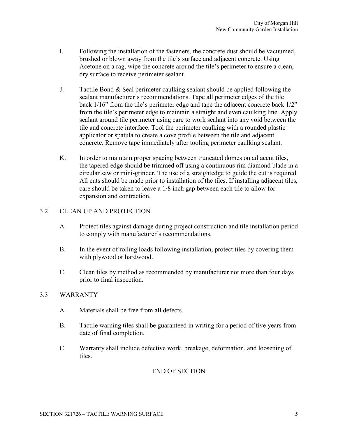- I. Following the installation of the fasteners, the concrete dust should be vacuumed, brushed or blown away from the tile's surface and adjacent concrete. Using Acetone on a rag, wipe the concrete around the tile's perimeter to ensure a clean, dry surface to receive perimeter sealant.
- J. Tactile Bond & Seal perimeter caulking sealant should be applied following the sealant manufacturer's recommendations. Tape all perimeter edges of the tile back 1/16" from the tile's perimeter edge and tape the adjacent concrete back 1/2" from the tile's perimeter edge to maintain a straight and even caulking line. Apply sealant around tile perimeter using care to work sealant into any void between the tile and concrete interface. Tool the perimeter caulking with a rounded plastic applicator or spatula to create a cove profile between the tile and adjacent concrete. Remove tape immediately after tooling perimeter caulking sealant.
- K. In order to maintain proper spacing between truncated domes on adjacent tiles, the tapered edge should be trimmed off using a continuous rim diamond blade in a circular saw or mini-grinder. The use of a straightedge to guide the cut is required. All cuts should be made prior to installation of the tiles. If installing adjacent tiles, care should be taken to leave a 1/8 inch gap between each tile to allow for expansion and contraction.

# 3.2 CLEAN UP AND PROTECTION

- A. Protect tiles against damage during project construction and tile installation period to comply with manufacturer's recommendations.
- B. In the event of rolling loads following installation, protect tiles by covering them with plywood or hardwood.
- C. Clean tiles by method as recommended by manufacturer not more than four days prior to final inspection.

# 3.3 WARRANTY

- A. Materials shall be free from all defects.
- B. Tactile warning tiles shall be guaranteed in writing for a period of five years from date of final completion.
- C. Warranty shall include defective work, breakage, deformation, and loosening of tiles.

# END OF SECTION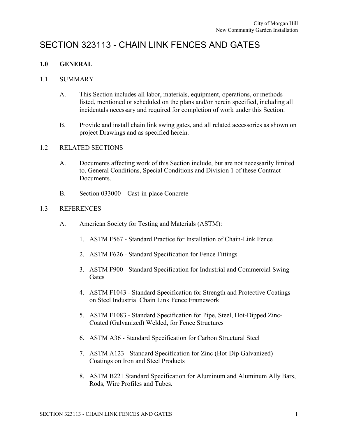# SECTION 323113 - CHAIN LINK FENCES AND GATES

# **1.0 GENERAL**

# 1.1 SUMMARY

- A. This Section includes all labor, materials, equipment, operations, or methods listed, mentioned or scheduled on the plans and/or herein specified, including all incidentals necessary and required for completion of work under this Section.
- B. Provide and install chain link swing gates, and all related accessories as shown on project Drawings and as specified herein.

# 1.2 RELATED SECTIONS

- A. Documents affecting work of this Section include, but are not necessarily limited to, General Conditions, Special Conditions and Division 1 of these Contract Documents.
- B. Section 033000 Cast-in-place Concrete

# 1.3 REFERENCES

- A. American Society for Testing and Materials (ASTM):
	- 1. ASTM F567 Standard Practice for Installation of Chain-Link Fence
	- 2. ASTM F626 Standard Specification for Fence Fittings
	- 3. ASTM F900 Standard Specification for Industrial and Commercial Swing **Gates**
	- 4. ASTM F1043 Standard Specification for Strength and Protective Coatings on Steel Industrial Chain Link Fence Framework
	- 5. ASTM F1083 Standard Specification for Pipe, Steel, Hot-Dipped Zinc-Coated (Galvanized) Welded, for Fence Structures
	- 6. ASTM A36 Standard Specification for Carbon Structural Steel
	- 7. ASTM A123 Standard Specification for Zinc (Hot-Dip Galvanized) Coatings on Iron and Steel Products
	- 8. ASTM B221 Standard Specification for Aluminum and Aluminum Ally Bars, Rods, Wire Profiles and Tubes.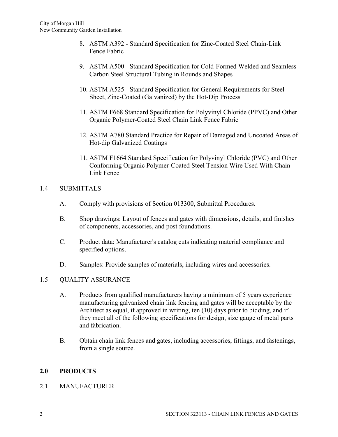- 8. ASTM A392 Standard Specification for Zinc-Coated Steel Chain-Link Fence Fabric
- 9. ASTM A500 Standard Specification for Cold-Formed Welded and Seamless Carbon Steel Structural Tubing in Rounds and Shapes
- 10. ASTM A525 Standard Specification for General Requirements for Steel Sheet, Zinc-Coated (Galvanized) by the Hot-Dip Process
- 11. ASTM F668 Standard Specification for Polyvinyl Chloride (PPVC) and Other Organic Polymer-Coated Steel Chain Link Fence Fabric
- 12. ASTM A780 Standard Practice for Repair of Damaged and Uncoated Areas of Hot-dip Galvanized Coatings
- 11. ASTM F1664 Standard Specification for Polyvinyl Chloride (PVC) and Other Conforming Organic Polymer-Coated Steel Tension Wire Used With Chain Link Fence

# 1.4 SUBMITTALS

- A. Comply with provisions of Section 013300, Submittal Procedures.
- B. Shop drawings: Layout of fences and gates with dimensions, details, and finishes of components, accessories, and post foundations.
- C. Product data: Manufacturer's catalog cuts indicating material compliance and specified options.
- D. Samples: Provide samples of materials, including wires and accessories.

# 1.5 QUALITY ASSURANCE

- A. Products from qualified manufacturers having a minimum of 5 years experience manufacturing galvanized chain link fencing and gates will be acceptable by the Architect as equal, if approved in writing, ten (10) days prior to bidding, and if they meet all of the following specifications for design, size gauge of metal parts and fabrication.
- B. Obtain chain link fences and gates, including accessories, fittings, and fastenings, from a single source.

# **2.0 PRODUCTS**

# 2.1 MANUFACTURER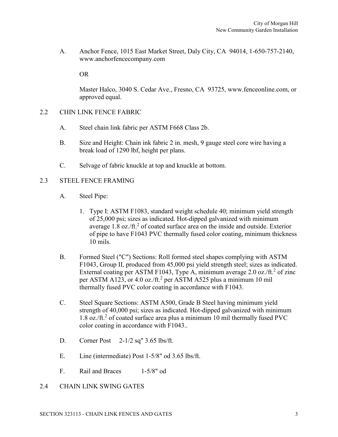A. Anchor Fence, 1015 East Market Street, Daly City, CA 94014, 1-650-757-2140, [www.anchorfencecompany.com](http://www.anchorfencecompany.com/)

OR

Master Halco, 3040 S. Cedar Ave., Fresno, CA 93725, www.fenceonline.com, or approved equal.

- 2.2 CHIN LINK FENCE FABRIC
	- A. Steel chain link fabric per ASTM F668 Class 2b.
	- B. Size and Height: Chain ink fabric 2 in. mesh, 9 gauge steel core wire having a break load of 1290 lbf, height per plans.
	- C. Selvage of fabric knuckle at top and knuckle at bottom.
- 2.3 STEEL FENCE FRAMING
	- A. Steel Pipe:
		- 1. Type I: ASTM F1083, standard weight schedule 40; minimum yield strength of 25,000 psi; sizes as indicated. Hot-dipped galvanized with minimum average 1.8 oz./ft.<sup>2</sup> of coated surface area on the inside and outside. Exterior of pipe to have F1043 PVC thermally fused color coating, minimum thickness 10 mils.
	- B. Formed Steel ("C") Sections: Roll formed steel shapes complying with ASTM F1043, Group II, produced from 45,000 psi yield strength steel; sizes as indicated. External coating per ASTM F1043, Type A, minimum average 2.0 oz./ft.<sup>2</sup> of zinc per ASTM A123, or 4.0 oz./ft.<sup>2</sup> per ASTM A525 plus a minimum 10 mil thermally fused PVC color coating in accordance with F1043.
	- C. Steel Square Sections: ASTM A500, Grade B Steel having minimum yield strength of 40,000 psi; sizes as indicated. Hot-dipped galvanized with minimum 1.8 oz./ft.<sup>2</sup> of coated surface area plus a minimum 10 mil thermally fused PVC color coating in accordance with F1043..
	- D. Corner Post 2-1/2 sq" 3.65 lbs/ft.
	- E. Line (intermediate) Post 1-5/8" od 3.65 lbs/ft.
	- F. Rail and Braces 1-5/8" od
- 2.4 CHAIN LINK SWING GATES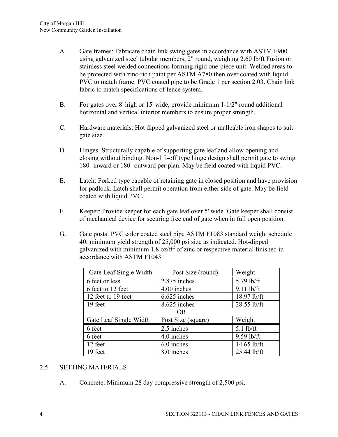- A. Gate frames: Fabricate chain link swing gates in accordance with ASTM F900 using galvanized steel tubular members, 2" round, weighing 2.60 lb/ft Fusion or stainless steel welded connections forming rigid one-piece unit. Welded areas to be protected with zinc-rich paint per ASTM A780 then over coated with liquid PVC to match frame. PVC coated pipe to be Grade 1 per section 2.03. Chain link fabric to match specifications of fence system.
- B. For gates over 8' high or 15' wide, provide minimum 1-1/2" round additional horizontal and vertical interior members to ensure proper strength.
- C. Hardware materials: Hot dipped galvanized steel or malleable iron shapes to suit gate size.
- D. Hinges: Structurally capable of supporting gate leaf and allow opening and closing without binding. Non-lift-off type hinge design shall permit gate to swing 180˚ inward or 180˚ outward per plan. May be field coated with liquid PVC.
- E. Latch: Forked type capable of retaining gate in closed position and have provision for padlock. Latch shall permit operation from either side of gate. May be field coated with liquid PVC.
- F. Keeper: Provide keeper for each gate leaf over 5' wide. Gate keeper shall consist of mechanical device for securing free end of gate when in full open position.
- G. Gate posts: PVC color coated steel pipe ASTM F1083 standard weight schedule 40; minimum yield strength of 25,000 psi size as indicated. Hot-dipped galvanized with minimum 1.8 oz/ $\text{ft}^2$  of zinc or respective material finished in accordance with ASTM F1043.

| Gate Leaf Single Width | Post Size (round)  | Weight       |  |  |
|------------------------|--------------------|--------------|--|--|
| 6 feet or less         | 2.875 inches       | 5.79 lb/ft   |  |  |
| 6 feet to 12 feet      | 4.00 inches        | $9.11$ lb/ft |  |  |
| 12 feet to 19 feet     | 6.625 inches       | 18.97 lb/ft  |  |  |
| 19 feet                | 8.625 inches       | 28.55 lb/ft  |  |  |
| <b>OR</b>              |                    |              |  |  |
| Gate Leaf Single Width | Post Size (square) | Weight       |  |  |
| 6 feet                 | 2.5 inches         | $5.1$ lb/ft  |  |  |
| 6 feet                 | 4.0 inches         | 9.59 lb/ft   |  |  |
| 12 feet                | 6.0 inches         | 14.65 lb/ft  |  |  |
| 19 feet                | 8.0 inches         | 25.44 lb/ft  |  |  |

# 2.5 SETTING MATERIALS

A. Concrete: Minimum 28 day compressive strength of 2,500 psi.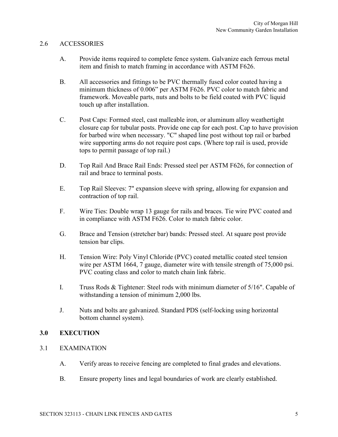# 2.6 ACCESSORIES

- A. Provide items required to complete fence system. Galvanize each ferrous metal item and finish to match framing in accordance with ASTM F626.
- B. All accessories and fittings to be PVC thermally fused color coated having a minimum thickness of 0.006" per ASTM F626. PVC color to match fabric and framework. Moveable parts, nuts and bolts to be field coated with PVC liquid touch up after installation.
- C. Post Caps: Formed steel, cast malleable iron, or aluminum alloy weathertight closure cap for tubular posts. Provide one cap for each post. Cap to have provision for barbed wire when necessary. "C" shaped line post without top rail or barbed wire supporting arms do not require post caps. (Where top rail is used, provide tops to permit passage of top rail.)
- D. Top Rail And Brace Rail Ends: Pressed steel per ASTM F626, for connection of rail and brace to terminal posts.
- E. Top Rail Sleeves: 7" expansion sleeve with spring, allowing for expansion and contraction of top rail.
- F. Wire Ties: Double wrap 13 gauge for rails and braces. Tie wire PVC coated and in compliance with ASTM F626. Color to match fabric color.
- G. Brace and Tension (stretcher bar) bands: Pressed steel. At square post provide tension bar clips.
- H. Tension Wire: Poly Vinyl Chloride (PVC) coated metallic coated steel tension wire per ASTM 1664, 7 gauge, diameter wire with tensile strength of 75,000 psi. PVC coating class and color to match chain link fabric.
- I. Truss Rods & Tightener: Steel rods with minimum diameter of 5/16". Capable of withstanding a tension of minimum 2,000 lbs.
- J. Nuts and bolts are galvanized. Standard PDS (self-locking using horizontal bottom channel system).

# **3.0 EXECUTION**

- 3.1 EXAMINATION
	- A. Verify areas to receive fencing are completed to final grades and elevations.
	- B. Ensure property lines and legal boundaries of work are clearly established.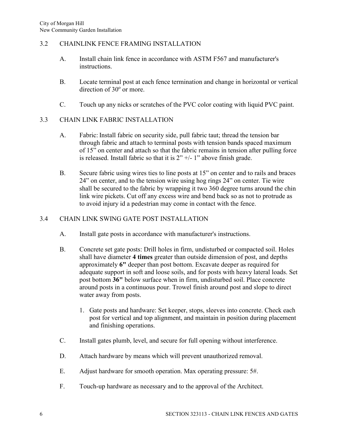# 3.2 CHAINLINK FENCE FRAMING INSTALLATION

- A. Install chain link fence in accordance with ASTM F567 and manufacturer's instructions.
- B. Locate terminal post at each fence termination and change in horizontal or vertical  $direction of 30<sup>o</sup>$  or more.
- C. Touch up any nicks or scratches of the PVC color coating with liquid PVC paint.

# 3.3 CHAIN LINK FABRIC INSTALLATION

- A. Fabric: Install fabric on security side, pull fabric taut; thread the tension bar through fabric and attach to terminal posts with tension bands spaced maximum of 15" on center and attach so that the fabric remains in tension after pulling force is released. Install fabric so that it is  $2" +/- 1"$  above finish grade.
- B. Secure fabric using wires ties to line posts at 15" on center and to rails and braces 24" on center, and to the tension wire using hog rings 24" on center. Tie wire shall be secured to the fabric by wrapping it two 360 degree turns around the chin link wire pickets. Cut off any excess wire and bend back so as not to protrude as to avoid injury id a pedestrian may come in contact with the fence.

# 3.4 CHAIN LINK SWING GATE POST INSTALLATION

- A. Install gate posts in accordance with manufacturer's instructions.
- B. Concrete set gate posts: Drill holes in firm, undisturbed or compacted soil. Holes shall have diameter **4 times** greater than outside dimension of post, and depths approximately **6"** deeper than post bottom. Excavate deeper as required for adequate support in soft and loose soils, and for posts with heavy lateral loads. Set post bottom **36"** below surface when in firm, undisturbed soil. Place concrete around posts in a continuous pour. Trowel finish around post and slope to direct water away from posts.
	- 1. Gate posts and hardware: Set keeper, stops, sleeves into concrete. Check each post for vertical and top alignment, and maintain in position during placement and finishing operations.
- C. Install gates plumb, level, and secure for full opening without interference.
- D. Attach hardware by means which will prevent unauthorized removal.
- E. Adjust hardware for smooth operation. Max operating pressure: 5#.
- F. Touch-up hardware as necessary and to the approval of the Architect.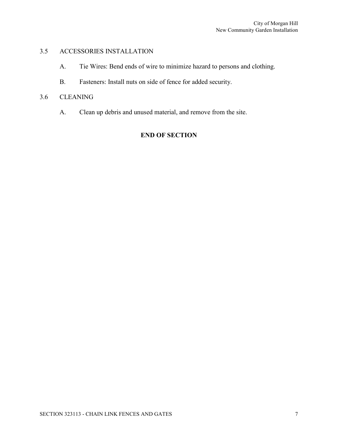# 3.5 ACCESSORIES INSTALLATION

- A. Tie Wires: Bend ends of wire to minimize hazard to persons and clothing.
- B. Fasteners: Install nuts on side of fence for added security.

# 3.6 CLEANING

A. Clean up debris and unused material, and remove from the site.

# **END OF SECTION**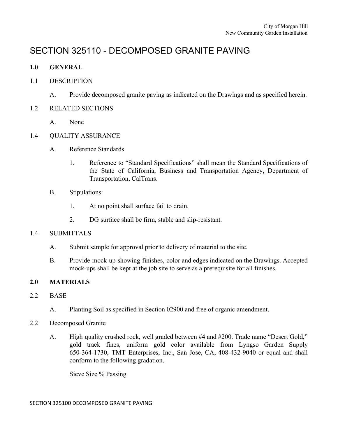# SECTION 325110 - DECOMPOSED GRANITE PAVING

# **1.0 GENERAL**

# 1.1 DESCRIPTION

A. Provide decomposed granite paving as indicated on the Drawings and as specified herein.

# 1.2 RELATED SECTIONS

A. None

# 1.4 QUALITY ASSURANCE

- A. Reference Standards
	- 1. Reference to "Standard Specifications" shall mean the Standard Specifications of the State of California, Business and Transportation Agency, Department of Transportation, CalTrans.
- B. Stipulations:
	- 1. At no point shall surface fail to drain.
	- 2. DG surface shall be firm, stable and slip-resistant.

# 1.4 SUBMITTALS

- A. Submit sample for approval prior to delivery of material to the site.
- B. Provide mock up showing finishes, color and edges indicated on the Drawings. Accepted mock-ups shall be kept at the job site to serve as a prerequisite for all finishes.

# **2.0 MATERIALS**

- 2.2 BASE
	- A. Planting Soil as specified in Section 02900 and free of organic amendment.
- 2.2 Decomposed Granite
	- A. High quality crushed rock, well graded between #4 and #200. Trade name "Desert Gold," gold track fines, uniform gold color available from Lyngso Garden Supply 650-364-1730, TMT Enterprises, Inc., San Jose, CA, 408-432-9040 or equal and shall conform to the following gradation.

Sieve Size % Passing

SECTION 325100 DECOMPOSED GRANITE PAVING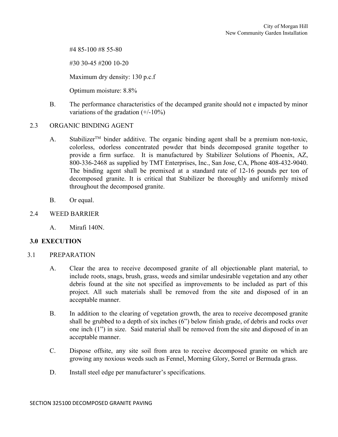#4 85-100 #8 55-80

#30 30-45 #200 10-20

Maximum dry density: 130 p.c.f

Optimum moisture: 8.8%

B. The performance characteristics of the decamped granite should not e impacted by minor variations of the gradation  $(+/-10\%)$ 

# 2.3 ORGANIC BINDING AGENT

- A. Stabilizer<sup>TM</sup> binder additive. The organic binding agent shall be a premium non-toxic, colorless, odorless concentrated powder that binds decomposed granite together to provide a firm surface. It is manufactured by Stabilizer Solutions of Phoenix, AZ, 800-336-2468 as supplied by TMT Enterprises, Inc., San Jose, CA, Phone 408-432-9040. The binding agent shall be premixed at a standard rate of 12-16 pounds per ton of decomposed granite. It is critical that Stabilizer be thoroughly and uniformly mixed throughout the decomposed granite.
- B. Or equal.
- 2.4 WEED BARRIER
	- A. Mirafi 140N.

# **3.0 EXECUTION**

- 3.1 PREPARATION
	- A. Clear the area to receive decomposed granite of all objectionable plant material, to include roots, snags, brush, grass, weeds and similar undesirable vegetation and any other debris found at the site not specified as improvements to be included as part of this project. All such materials shall be removed from the site and disposed of in an acceptable manner.
	- B. In addition to the clearing of vegetation growth, the area to receive decomposed granite shall be grubbed to a depth of six inches (6") below finish grade, of debris and rocks over one inch (1") in size. Said material shall be removed from the site and disposed of in an acceptable manner.
	- C. Dispose offsite, any site soil from area to receive decomposed granite on which are growing any noxious weeds such as Fennel, Morning Glory, Sorrel or Bermuda grass.
	- D. Install steel edge per manufacturer's specifications.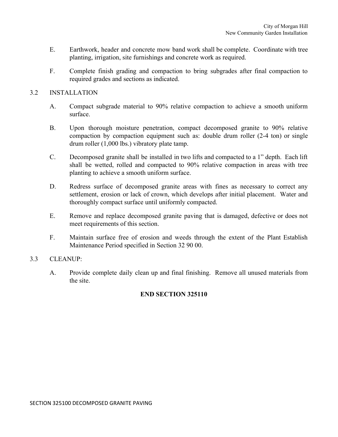- E. Earthwork, header and concrete mow band work shall be complete. Coordinate with tree planting, irrigation, site furnishings and concrete work as required.
- F. Complete finish grading and compaction to bring subgrades after final compaction to required grades and sections as indicated.

# 3.2 INSTALLATION

- A. Compact subgrade material to 90% relative compaction to achieve a smooth uniform surface.
- B. Upon thorough moisture penetration, compact decomposed granite to 90% relative compaction by compaction equipment such as: double drum roller (2-4 ton) or single drum roller (1,000 lbs.) vibratory plate tamp.
- C. Decomposed granite shall be installed in two lifts and compacted to a 1" depth. Each lift shall be wetted, rolled and compacted to 90% relative compaction in areas with tree planting to achieve a smooth uniform surface.
- D. Redress surface of decomposed granite areas with fines as necessary to correct any settlement, erosion or lack of crown, which develops after initial placement. Water and thoroughly compact surface until uniformly compacted.
- E. Remove and replace decomposed granite paving that is damaged, defective or does not meet requirements of this section.
- F. Maintain surface free of erosion and weeds through the extent of the Plant Establish Maintenance Period specified in Section 32 90 00.

# 3.3 CLEANUP:

A. Provide complete daily clean up and final finishing. Remove all unused materials from the site.

# **END SECTION 325110**